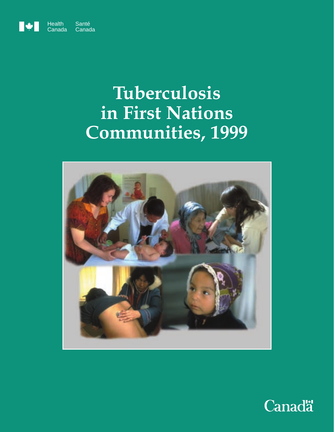

# **Tuberculosis in First Nations Communities, 1999**



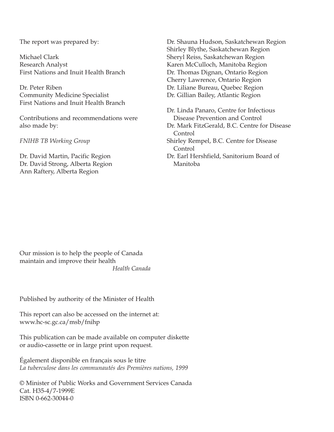The report was prepared by:

Michael Clark Research Analyst First Nations and Inuit Health Branch

Dr. Peter Riben Community Medicine Specialist First Nations and Inuit Health Branch

Contributions and recommendations were also made by:

*FNIHB TB Working Group*

Dr. David Martin, Pacific Region Dr. David Strong, Alberta Region Ann Raftery, Alberta Region

Dr. Shauna Hudson, Saskatchewan Region Shirley Blythe, Saskatchewan Region Sheryl Reiss, Saskatchewan Region Karen McCulloch, Manitoba Region Dr. Thomas Dignan, Ontario Region Cherry Lawrence, Ontario Region Dr. Liliane Bureau, Quebec Region Dr. Gillian Bailey, Atlantic Region

Dr. Linda Panaro, Centre for Infectious Disease Prevention and Control Dr. Mark FitzGerald, B.C. Centre for Disease Control Shirley Rempel, B.C. Centre for Disease Control Dr. Earl Hershfield, Sanitorium Board of Manitoba

Our mission is to help the people of Canada maintain and improve their health *Health Canada*

Published by authority of the Minister of Health

This report can also be accessed on the internet at: www.hc-sc.gc.ca/msb/fnihp

This publication can be made available on computer diskette or audio-cassette or in large print upon request.

Également disponible en français sous le titre *La tuberculose dans les communautés des Premières nations, 1999*

© Minister of Public Works and Government Services Canada Cat. H35-4/7-1999E ISBN 0-662-30044-0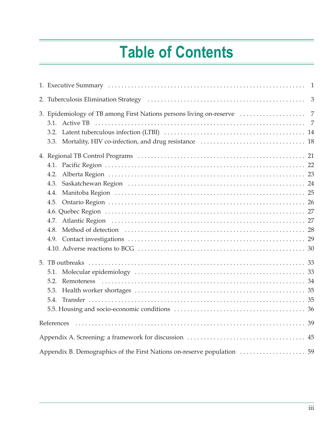# **Table of Contents**

| $\overline{1}$ |                                                                                                                                  |                |  |  |  |  |  |  |  |
|----------------|----------------------------------------------------------------------------------------------------------------------------------|----------------|--|--|--|--|--|--|--|
|                | 2. Tuberculosis Elimination Strategy (and accommunication of the contract of the contract of the contract of t<br>$\mathfrak{Z}$ |                |  |  |  |  |  |  |  |
|                | 3. Epidemiology of TB among First Nations persons living on-reserve                                                              | $\overline{7}$ |  |  |  |  |  |  |  |
|                | <b>Active TB</b><br>3.1.                                                                                                         | $\overline{7}$ |  |  |  |  |  |  |  |
|                | 3.2.                                                                                                                             |                |  |  |  |  |  |  |  |
|                |                                                                                                                                  |                |  |  |  |  |  |  |  |
|                |                                                                                                                                  |                |  |  |  |  |  |  |  |
|                | 4.1.                                                                                                                             |                |  |  |  |  |  |  |  |
|                | 4.2.                                                                                                                             |                |  |  |  |  |  |  |  |
|                | 4.3.                                                                                                                             |                |  |  |  |  |  |  |  |
|                | 4.4.                                                                                                                             |                |  |  |  |  |  |  |  |
|                | 4.5.                                                                                                                             |                |  |  |  |  |  |  |  |
|                |                                                                                                                                  |                |  |  |  |  |  |  |  |
|                | 4.7.                                                                                                                             |                |  |  |  |  |  |  |  |
|                | 4.8.                                                                                                                             |                |  |  |  |  |  |  |  |
|                |                                                                                                                                  |                |  |  |  |  |  |  |  |
|                |                                                                                                                                  |                |  |  |  |  |  |  |  |
|                |                                                                                                                                  |                |  |  |  |  |  |  |  |
|                | 5.1.                                                                                                                             |                |  |  |  |  |  |  |  |
|                | 5.2.                                                                                                                             |                |  |  |  |  |  |  |  |
|                | 5.3.                                                                                                                             |                |  |  |  |  |  |  |  |
|                | 5.4.                                                                                                                             |                |  |  |  |  |  |  |  |
|                |                                                                                                                                  |                |  |  |  |  |  |  |  |
|                | References                                                                                                                       |                |  |  |  |  |  |  |  |
|                |                                                                                                                                  |                |  |  |  |  |  |  |  |
|                | Appendix B. Demographics of the First Nations on-reserve population  59                                                          |                |  |  |  |  |  |  |  |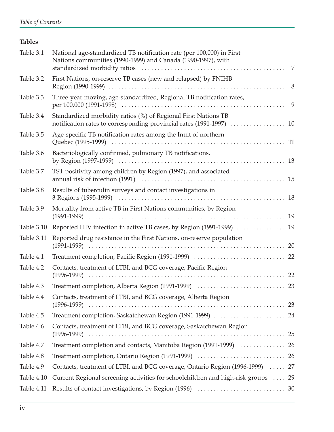#### **Tables**

| Table 3.1  | National age-standardized TB notification rate (per 100,000) in First<br>Nations communities (1990-1999) and Canada (1990-1997), with  |   |
|------------|----------------------------------------------------------------------------------------------------------------------------------------|---|
| Table 3.2  | First Nations, on-reserve TB cases (new and relapsed) by FNIHB                                                                         |   |
| Table 3.3  | Three-year moving, age-standardized, Regional TB notification rates,                                                                   | 9 |
| Table 3.4  | Standardized morbidity ratios (%) of Regional First Nations TB<br>notification rates to corresponding provincial rates (1991-1997)  10 |   |
| Table 3.5  | Age-specific TB notification rates among the Inuit of northern                                                                         |   |
| Table 3.6  | Bacteriologically confirmed, pulmonary TB notifications,                                                                               |   |
| Table 3.7  | TST positivity among children by Region (1997), and associated                                                                         |   |
| Table 3.8  | Results of tuberculin surveys and contact investigations in                                                                            |   |
| Table 3.9  | Mortality from active TB in First Nations communities, by Region                                                                       |   |
| Table 3.10 | Reported HIV infection in active TB cases, by Region (1991-1999)  19                                                                   |   |
| Table 3.11 | Reported drug resistance in the First Nations, on-reserve population                                                                   |   |
| Table 4.1  |                                                                                                                                        |   |
| Table 4.2  | Contacts, treatment of LTBI, and BCG coverage, Pacific Region                                                                          |   |
| Table 4.3  |                                                                                                                                        |   |
| Table 4.4  | Contacts, treatment of LTBI, and BCG coverage, Alberta Region                                                                          |   |
| Table 4.5  | Treatment completion, Saskatchewan Region (1991-1999)  24                                                                              |   |
| Table 4.6  | Contacts, treatment of LTBI, and BCG coverage, Saskatchewan Region                                                                     |   |
| Table 4.7  | Treatment completion and contacts, Manitoba Region (1991-1999)  26                                                                     |   |
| Table 4.8  |                                                                                                                                        |   |
| Table 4.9  | Contacts, treatment of LTBI, and BCG coverage, Ontario Region (1996-1999)  27                                                          |   |
| Table 4.10 | Current Regional screening activities for schoolchildren and high-risk groups  29                                                      |   |
| Table 4.11 |                                                                                                                                        |   |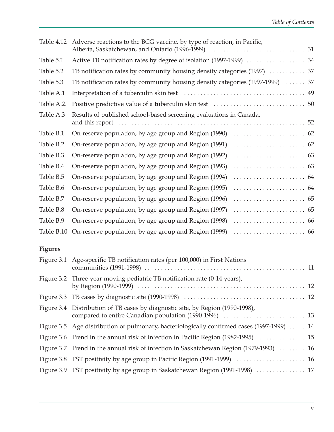| Table 4.12 | Adverse reactions to the BCG vaccine, by type of reaction, in Pacific,        |
|------------|-------------------------------------------------------------------------------|
| Table 5.1  | Active TB notification rates by degree of isolation (1997-1999)  34           |
| Table 5.2  | TB notification rates by community housing density categories (1997)  37      |
| Table 5.3  | TB notification rates by community housing density categories (1997-1999)  37 |
| Table A.1  |                                                                               |
| Table A.2. |                                                                               |
| Table A.3  | Results of published school-based screening evaluations in Canada,            |
| Table B.1  |                                                                               |
| Table B.2  | On-reserve population, by age group and Region (1991)                         |
| Table B.3  | On-reserve population, by age group and Region (1992)                         |
| Table B.4  | On-reserve population, by age group and Region (1993)                         |
| Table B.5  | On-reserve population, by age group and Region (1994)                         |
| Table B.6  | On-reserve population, by age group and Region (1995)                         |
| Table B.7  | On-reserve population, by age group and Region (1996)                         |
| Table B.8  | On-reserve population, by age group and Region (1997)                         |
| Table B.9  | On-reserve population, by age group and Region (1998)                         |
| Table B.10 | On-reserve population, by age group and Region (1999)                         |

#### **Figures**

| Figure 3.1 Age-specific TB notification rates (per 100,000) in First Nations                |
|---------------------------------------------------------------------------------------------|
| Figure 3.2 Three-year moving pediatric TB notification rate (0-14 years),                   |
|                                                                                             |
| Figure 3.4 Distribution of TB cases by diagnostic site, by Region (1990-1998),              |
| Figure 3.5 Age distribution of pulmonary, bacteriologically confirmed cases (1997-1999)  14 |
|                                                                                             |
| Figure 3.7 Trend in the annual risk of infection in Saskatchewan Region (1979-1993)  16     |
|                                                                                             |
| Figure 3.9 TST positivity by age group in Saskatchewan Region (1991-1998)  17               |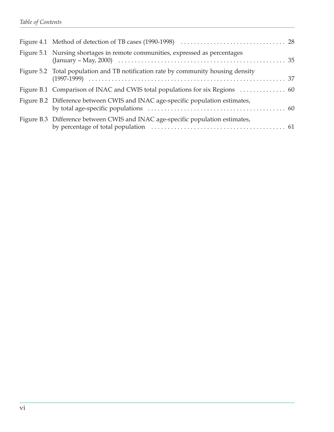| Figure 5.1 Nursing shortages in remote communities, expressed as percentages      |  |
|-----------------------------------------------------------------------------------|--|
| Figure 5.2 Total population and TB notification rate by community housing density |  |
|                                                                                   |  |
| Figure B.2 Difference between CWIS and INAC age-specific population estimates,    |  |
| Figure B.3 Difference between CWIS and INAC age-specific population estimates,    |  |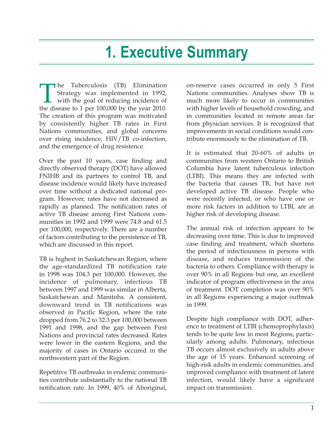# **1. Executive Summary**

The Tuberculosis (TB) Elimination<br>Strategy was implemented in 1992,<br>with the goal of reducing incidence of<br>the disease to 1 per 100.000 by the year 2010. Strategy was implemented in 1992, with the goal of reducing incidence of the disease to 1 per 100,000 by the year 2010. The creation of this program was motivated by consistently higher TB rates in First Nations communities, and global concerns over rising incidence, HIV/TB co-infection, and the emergence of drug resistence.

Over the past 10 years, case finding and directly observed therapy (DOT) have allowed FNIHB and its partners to control TB, and disease incidence would likely have increased over time without a dedicated national program. However, rates have not decreased as rapidly as planned. The notification rates of active TB disease among First Nations communities in 1992 and 1999 were 74.8 and 61.5 per 100,000, respectively. There are a number of factors contributing to the persistence of TB, which are discussed in this report.

TB is highest in Saskatchewan Region, where the age-standardized TB notification rate in 1998 was 104.3 per 100,000. However, the incidence of pulmonary, infectious TB between 1997 and 1999 was similar in Alberta, Saskatchewan and Manitoba. A consistent, downward trend in TB notifications was observed in Pacific Region, where the rate dropped from 76.2 to 32.3 per 100,000 between 1991 and 1998, and the gap between First Nations and provincial rates decreased. Rates were lower in the eastern Regions, and the majority of cases in Ontario occured in the northwestern part of the Region.

Repetitive TB outbreaks in endemic communities contribute substantially to the national TB notification rate. In 1999, 40% of Aboriginal, on-reserve cases occurred in only 5 First Nations communities. Analyses show TB is much more likely to occur in communities with higher levels of household crowding, and in communities located in remote areas far from physician services. It is recognized that improvements in social conditions would contribute enormously to the elimination of TB.

It is estimated that 20-60% of adults in communities from western Ontario to British Columbia have latent tuberculous infection (LTBI). This means they are infected with the bacteria that causes TB, but have not developed active TB disease. People who were recently infected, or who have one or more risk factors in addition to LTBI, are at higher risk of developing disease.

The annual risk of infection appears to be decreasing over time. This is due to improved case finding and treatment, which shortens the period of infectiousness in persons with disease, and reduces transmission of the bacteria to others. Compliance with therapy is over 90% in all Regions but one, an excellent indicator of program effectiveness in the area of treatment. DOT completion was over 90% in all Regions experiencing a major outbreak in 1999.

Despite high compliance with DOT, adherence to treatment of LTBI (chemoprophylaxis) tends to be quite low in most Regions, particularly among adults. Pulmonary, infectious TB occurs almost exclusively in adults above the age of 15 years. Enhanced screening of high-risk adults in endemic communities, and improved compliance with treatment of latent infection, would likely have a significant impact on transmission.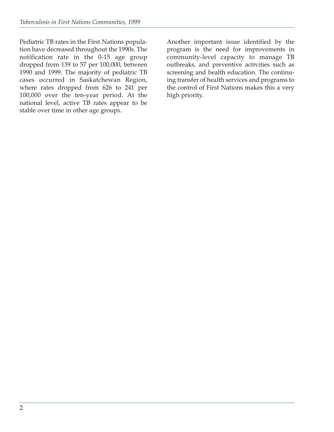Pediatric TB rates in the First Nations population have decreased throughout the 1990s. The notification rate in the 0-15 age group dropped from 139 to 57 per 100,000, between 1990 and 1999. The majority of pediatric TB cases occurred in Saskatchewan Region, where rates dropped from 626 to 241 per 100,000 over the ten-year period. At the national level, active TB rates appear to be stable over time in other age groups.

Another important issue identified by the program is the need for improvements in community-level capacity to manage TB outbreaks, and preventive activities such as screening and health education. The continuing transfer of health services and programs to the control of First Nations makes this a very high priority.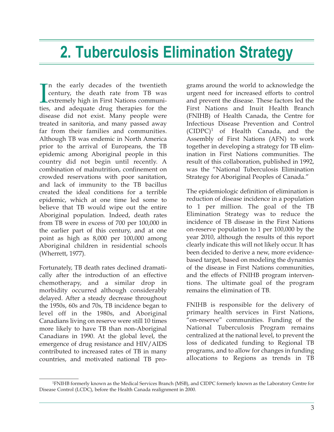# **2. Tuberculosis Elimination Strategy**

<sup>ties</sup> n the early decades of the twentieth century, the death rate from TB was extremely high in First Nations communities, and adequate drug therapies for the disease did not exist. Many people were treated in sanitoria, and many passed away far from their families and communities. Although TB was endemic in North America prior to the arrival of Europeans, the TB epidemic among Aboriginal people in this country did not begin until recently. A combination of malnutrition, confinement on crowded reservations with poor sanitation, and lack of immunity to the TB bacillus created the ideal conditions for a terrible epidemic, which at one time led some to believe that TB would wipe out the entire Aboriginal population. Indeed, death rates from TB were in excess of 700 per 100,000 in the earlier part of this century, and at one point as high as 8,000 per 100,000 among Aboriginal children in residential schools (Wherrett, 1977).

Fortunately, TB death rates declined dramatically after the introduction of an effective chemotherapy, and a similar drop in morbidity occurred although considerably delayed. After a steady decrease throughout the 1950s, 60s and 70s, TB incidence began to level off in the 1980s, and Aboriginal Canadians living on reserve were still 10 times more likely to have TB than non-Aboriginal Canadians in 1990. At the global level, the emergence of drug resistance and HIV/AIDS contributed to increased rates of TB in many countries, and motivated national TB pro-

grams around the world to acknowledge the urgent need for increased efforts to control and prevent the disease. These factors led the First Nations and Inuit Health Branch (FNIHB) of Health Canada, the Centre for Infectious Disease Prevention and Control  $(CIDPC)^1$  of Health Canada, and the Assembly of First Nations (AFN) to work together in developing a strategy for TB elimination in First Nations communities. The result of this collaboration, published in 1992, was the "National Tuberculosis Elimination Strategy for Aboriginal Peoples of Canada."

The epidemiologic definition of elimination is reduction of disease incidence in a population to 1 per million. The goal of the TB Elimination Strategy was to reduce the incidence of TB disease in the First Nations on-reserve population to 1 per 100,000 by the year 2010, although the results of this report clearly indicate this will not likely occur. It has been decided to derive a new, more evidencebased target, based on modeling the dynamics of the disease in First Nations communities, and the effects of FNIHB program interventions. The ultimate goal of the program remains the elimination of TB.

FNIHB is responsible for the delivery of primary health services in First Nations, "on-reserve" communities. Funding of the National Tuberculosis Program remains centralized at the national level, to prevent the loss of dedicated funding to Regional TB programs, and to allow for changes in funding allocations to Regions as trends in TB

<sup>1</sup> FNIHB formerly known as the Medical Services Branch (MSB), and CIDPC formerly known as the Laboratory Centre for Disease Control (LCDC), before the Health Canada realignment in 2000.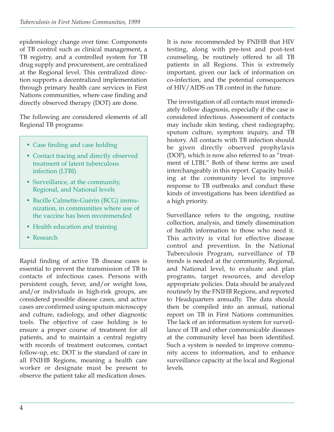epidemiology change over time. Components of TB control such as clinical management, a TB registry, and a controlled system for TB drug supply and procurement, are centralized at the Regional level. This centralized direction supports a decentralized implementation through primary health care services in First Nations communities, where case finding and directly observed therapy (DOT) are done.

The following are considered elements of all Regional TB programs:

- Case finding and case holding
- Contact tracing and directly observed treatment of latent tuberculous infection (LTBI)
- Surveillance, at the community, Regional, and National levels
- Bacille Calmette-Guérin (BCG) immunization, in communities where use of the vaccine has been recommended
- Health education and training
- Research

Rapid finding of active TB disease cases is essential to prevent the transmission of TB to contacts of infectious cases. Persons with persistent cough, fever, and/or weight loss, and/or individuals in high-risk groups, are considered possible disease cases, and active cases are confirmed using sputum microscopy and culture, radiology, and other diagnostic tools. The objective of case holding is to ensure a proper course of treatment for all patients, and to maintain a central registry with records of treatment outcomes, contact follow-up, etc. DOT is the standard of care in all FNIHB Regions, meaning a health care worker or designate must be present to observe the patient take all medication doses.

It is now recommended by FNIHB that HIV testing, along with pre-test and post-test counseling, be routinely offered to all TB patients in all Regions. This is extremely important, given our lack of information on co-infection, and the potential consequences of HIV/AIDS on TB control in the future.

The investigation of all contacts must immediately follow diagnosis, especially if the case is considered infectious. Assessment of contacts may include skin testing, chest radiography, sputum culture, symptom inquiry, and TB history. All contacts with TB infection should be given directly observed prophylaxis (DOP), which is now also referred to as "treatment of LTBI." Both of these terms are used interchangeably in this report. Capacity building at the community level to improve response to TB outbreaks and conduct these kinds of investigations has been identified as a high priority.

Surveillance refers to the ongoing, routine collection, analysis, and timely dissemination of health information to those who need it. This activity is vital for effective disease control and prevention. In the National Tuberculosis Program, surveillance of TB trends is needed at the community, Regional, and National level, to evaluate and plan programs, target resources, and develop appropriate policies. Data should be analyzed routinely by the FNIHB Regions, and reported to Headquarters annually. The data should then be compiled into an annual, national report on TB in First Nations communities. The lack of an information system for surveillance of TB and other communicable diseases at the community level has been identified. Such a system is needed to improve community access to information, and to enhance surveillance capacity at the local and Regional levels.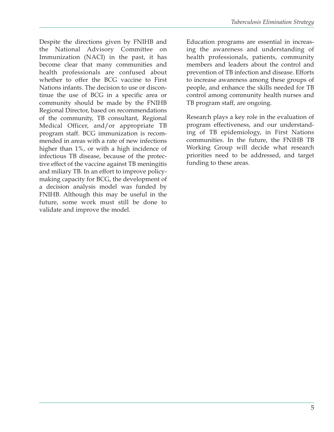Despite the directions given by FNIHB and the National Advisory Committee on Immunization (NACI) in the past, it has become clear that many communities and health professionals are confused about whether to offer the BCG vaccine to First Nations infants. The decision to use or discontinue the use of BCG in a specific area or community should be made by the FNIHB Regional Director, based on recommendations of the community, TB consultant, Regional Medical Officer, and/or appropriate TB program staff. BCG immunization is recommended in areas with a rate of new infections higher than 1%, or with a high incidence of infectious TB disease, because of the protective effect of the vaccine against TB meningitis and miliary TB. In an effort to improve policymaking capacity for BCG, the development of a decision analysis model was funded by FNIHB. Although this may be useful in the future, some work must still be done to validate and improve the model.

Education programs are essential in increasing the awareness and understanding of health professionals, patients, community members and leaders about the control and prevention of TB infection and disease. Efforts to increase awareness among these groups of people, and enhance the skills needed for TB control among community health nurses and TB program staff, are ongoing.

Research plays a key role in the evaluation of program effectiveness, and our understanding of TB epidemiology, in First Nations communities. In the future, the FNIHB TB Working Group will decide what research priorities need to be addressed, and target funding to these areas.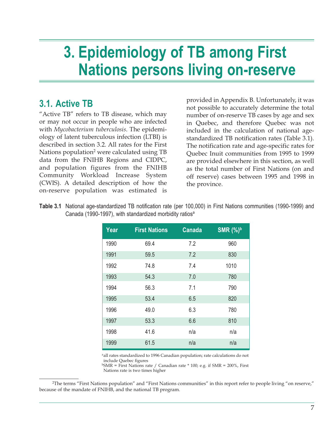# **3. Epidemiology of TB among First Nations persons living on-reserve**

## **3.1. Active TB**

"Active TB" refers to TB disease, which may or may not occur in people who are infected with *Mycobacterium tuberculosis*. The epidemiology of latent tuberculous infection (LTBI) is described in section 3.2. All rates for the First Nations population<sup>2</sup> were calculated using TB data from the FNIHB Regions and CIDPC, and population figures from the FNIHB Community Workload Increase System (CWIS). A detailed description of how the on-reserve population was estimated is

provided in Appendix B. Unfortunately, it was not possible to accurately determine the total number of on-reserve TB cases by age and sex in Quebec, and therefore Quebec was not included in the calculation of national agestandardized TB notification rates (Table 3.1). The notification rate and age-specific rates for Quebec Inuit communities from 1995 to 1999 are provided elsewhere in this section, as well as the total number of First Nations (on and off reserve) cases between 1995 and 1998 in the province.

**Table 3.1** National age-standardized TB notification rate (per 100,000) in First Nations communities (1990-1999) and Canada (1990-1997), with standardized morbidity ratios<sup>a</sup>

| Year | <b>First Nations</b> | <b>Canada</b> | <b>SMR</b> (%) <sup>b</sup> |
|------|----------------------|---------------|-----------------------------|
| 1990 | 69.4                 | 7.2           | 960                         |
| 1991 | 59.5                 | 7.2           | 830                         |
| 1992 | 74.8                 | 7.4           | 1010                        |
| 1993 | 54.3                 | 7.0           | 780                         |
| 1994 | 56.3                 | 7.1           | 790                         |
| 1995 | 53.4                 | 6.5           | 820                         |
| 1996 | 49.0                 | 6.3           | 780                         |
| 1997 | 53.3                 | 6.6           | 810                         |
| 1998 | 41.6                 | n/a           | n/a                         |
| 1999 | 61.5                 | n/a           | n/a                         |

aall rates standardized to 1996 Canadian population; rate calculations do not include Quebec figures

 $bSMR$  = First Nations rate / Canadian rate  $*$  100; e.g. if SMR = 200%, First Nations rate is two times higher

2 The terms "First Nations population" and "First Nations communities" in this report refer to people living "on reserve," because of the mandate of FNIHB, and the national TB program.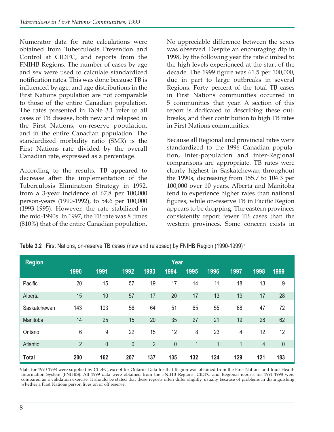Numerator data for rate calculations were obtained from Tuberculosis Prevention and Control at CIDPC, and reports from the FNIHB Regions. The number of cases by age and sex were used to calculate standardized notification rates. This was done because TB is influenced by age, and age distributions in the First Nations population are not comparable to those of the entire Canadian population. The rates presented in Table 3.1 refer to all cases of TB disease, both new and relapsed in the First Nations, on-reserve population, and in the entire Canadian population. The standardized morbidity ratio (SMR) is the First Nations rate divided by the overall Canadian rate, expressed as a percentage.

According to the results, TB appeared to decrease after the implementation of the Tuberculosis Elimination Strategy in 1992, from a 3-year incidence of 67.8 per 100,000 person-years (1990-1992), to 54.6 per 100,000 (1993-1995). However, the rate stabilized in the mid-1990s. In 1997, the TB rate was 8 times (810%) that of the entire Canadian population.

No appreciable difference between the sexes was observed. Despite an encouraging dip in 1998, by the following year the rate climbed to the high levels experienced at the start of the decade. The 1999 figure was 61.5 per 100,000, due in part to large outbreaks in several Regions. Forty percent of the total TB cases in First Nations communities occurred in 5 communities that year. A section of this report is dedicated to describing these outbreaks, and their contribution to high TB rates in First Nations communities.

Because all Regional and provincial rates were standardized to the 1996 Canadian population, inter-population and inter-Regional comparisons are appropriate. TB rates were clearly highest in Saskatchewan throughout the 1990s, decreasing from 155.7 to 104.3 per 100,000 over 10 years. Alberta and Manitoba tend to experience higher rates than national figures, while on-reserve TB in Pacific Region appears to be dropping. The eastern provinces consistently report fewer TB cases than the western provinces. Some concern exists in

|  | Table 3.2 First Nations, on-reserve TB cases (new and relapsed) by FNIHB Region (1990-1999) <sup>a</sup> |  |  |  |  |  |  |  |
|--|----------------------------------------------------------------------------------------------------------|--|--|--|--|--|--|--|
|--|----------------------------------------------------------------------------------------------------------|--|--|--|--|--|--|--|

| <b>Region</b>   | Year           |             |      |                |           |      |      |      |      |           |
|-----------------|----------------|-------------|------|----------------|-----------|------|------|------|------|-----------|
|                 | 1990           | 1991        | 1992 | 1993           | 1994      | 1995 | 1996 | 1997 | 1998 | 1999      |
| Pacific         | 20             | 15          | 57   | 19             | 17        | 14   | 11   | 18   | 13   | 9         |
| Alberta         | 15             | 10          | 57   | 17             | 20        | 17   | 13   | 19   | 17   | 28        |
| Saskatchewan    | 143            | 103         | 56   | 64             | 51        | 65   | 55   | 68   | 47   | 72        |
| Manitoba        | 14             | 25          | 15   | 20             | 35        | 27   | 21   | 19   | 28   | 62        |
| Ontario         | 6              | 9           | 22   | 15             | 12        | 8    | 23   | 4    | 12   | 12        |
| <b>Atlantic</b> | $\overline{2}$ | $\mathbf 0$ | 0    | $\overline{2}$ | $\pmb{0}$ | 1    | 1    | 1    | 4    | $\pmb{0}$ |
| <b>Total</b>    | 200            | 162         | 207  | 137            | 135       | 132  | 124  | 129  | 121  | 183       |

<sup>a</sup>data for 1990-1998 were supplied by CIDPC, except for Ontario. Data for that Region was obtained from the First Nations and Inuit Health Information System (FNIHIS). All 1999 data were obtained from the FNIHB Regions. CIDPC and Regional reports for 1991-1998 were compared as a validation exercise. It should be stated that these reports often differ slightly, usually because of problems in distinguishing whether a First Nations person lives on or off reserve.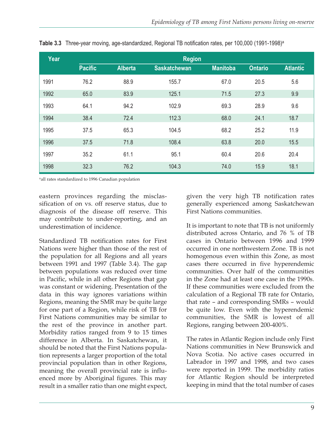| Year | <b>Region</b>  |                |                     |                 |                |                 |  |
|------|----------------|----------------|---------------------|-----------------|----------------|-----------------|--|
|      | <b>Pacific</b> | <b>Alberta</b> | <b>Saskatchewan</b> | <b>Manitoba</b> | <b>Ontario</b> | <b>Atlantic</b> |  |
| 1991 | 76.2           | 88.9           | 155.7               | 67.0            | 20.5           | 5.6             |  |
| 1992 | 65.0           | 83.9           | 125.1               | 71.5            | 27.3           | 9.9             |  |
| 1993 | 64.1           | 94.2           | 102.9               | 69.3            | 28.9           | 9.6             |  |
| 1994 | 38.4           | 72.4           | 112.3               | 68.0            | 24.1           | 18.7            |  |
| 1995 | 37.5           | 65.3           | 104.5               | 68.2            | 25.2           | 11.9            |  |
| 1996 | 37.5           | 71.8           | 108.4               | 63.8            | 20.0           | 15.5            |  |
| 1997 | 35.2           | 61.1           | 95.1                | 60.4            | 20.6           | 20.4            |  |
| 1998 | 32.3           | 76.2           | 104.3               | 74.0            | 15.9           | 18.1            |  |

**Table 3.3** Three-year moving, age-standardized, Regional TB notification rates, per 100,000 (1991-1998)<sup>a</sup>

<sup>a</sup>all rates standardized to 1996 Canadian population

eastern provinces regarding the misclassification of on vs. off reserve status, due to diagnosis of the disease off reserve. This may contribute to under-reporting, and an underestimation of incidence.

Standardized TB notification rates for First Nations were higher than those of the rest of the population for all Regions and all years between 1991 and 1997 (Table 3.4). The gap between populations was reduced over time in Pacific, while in all other Regions that gap was constant or widening. Presentation of the data in this way ignores variations within Regions, meaning the SMR may be quite large for one part of a Region, while risk of TB for First Nations communities may be similar to the rest of the province in another part. Morbidity ratios ranged from 9 to 15 times difference in Alberta. In Saskatchewan, it should be noted that the First Nations population represents a larger proportion of the total provincial population than in other Regions, meaning the overall provincial rate is influenced more by Aboriginal figures. This may result in a smaller ratio than one might expect,

given the very high TB notification rates generally experienced among Saskatchewan First Nations communities.

It is important to note that TB is not uniformly distributed across Ontario, and 76 % of TB cases in Ontario between 1996 and 1999 occurred in one northwestern Zone. TB is not homogenous even within this Zone, as most cases there occurred in five hyperendemic communities. Over half of the communities in the Zone had at least one case in the 1990s. If these communities were excluded from the calculation of a Regional TB rate for Ontario, that rate – and corresponding SMRs – would be quite low. Even with the hyperendemic communities, the SMR is lowest of all Regions, ranging between 200-400%.

The rates in Atlantic Region include only First Nations communities in New Brunswick and Nova Scotia. No active cases occurred in Labrador in 1997 and 1998, and two cases were reported in 1999. The morbidity ratios for Atlantic Region should be interpreted keeping in mind that the total number of cases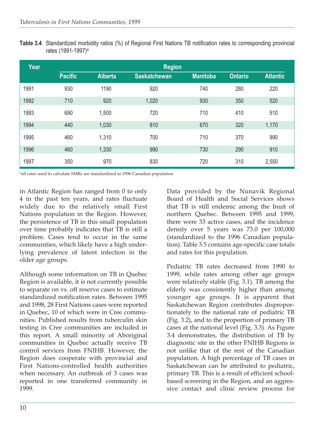**Table 3.4** Standardized morbidity ratios (%) of Regional First Nations TB notification rates to corresponding provincial rates (1991-1997)a

| Year | <b>Region</b>  |                |                     |                 |                |                 |  |  |
|------|----------------|----------------|---------------------|-----------------|----------------|-----------------|--|--|
|      | <b>Pacific</b> | <b>Alberta</b> | <b>Saskatchewan</b> | <b>Manitoba</b> | <b>Ontario</b> | <b>Atlantic</b> |  |  |
| 1991 | 930            | 1190           | 920                 | 740             | 280            | 220             |  |  |
| 1992 | 710            | 920            | 1,020               | 930             | 350            | 520             |  |  |
| 1993 | 690            | 1,500          | 720                 | 710             | 410            | 510             |  |  |
| 1994 | 440            | 1,030          | 810                 | 670             | 320            | 1,170           |  |  |
| 1995 | 460            | 1,310          | 700                 | 710             | 370            | 990             |  |  |
| 1996 | 460            | 1,330          | 990                 | 730             | 290            | 910             |  |  |
| 1997 | 350            | 970            | 830                 | 720             | 310            | 2,550           |  |  |

<sup>a</sup>all rates used to calculate SMRs are standardized to 1996 Canadian population

in Atlantic Region has ranged from 0 to only 4 in the past ten years, and rates fluctuate widely due to the relatively small First Nations population in the Region. However, the persistence of TB in this small population over time probably indicates that TB is still a problem. Cases tend to occur in the same communities, which likely have a high underlying prevalence of latent infection in the older age groups.

Although some information on TB in Quebec Region is available, it is not currently possible to separate on vs. off reserve cases to estimate standardized notification rates. Between 1995 and 1998, 28 First Nations cases were reported in Quebec, 10 of which were in Cree communities. Published results from tuberculin skin testing in Cree communities are included in this report. A small minority of Aboriginal communities in Quebec actually receive TB control services from FNIHB. However, the Region does cooperate with provincial and First Nations-controlled health authorities when necessary. An outbreak of 3 cases was reported in one transferred community in 1999.

Data provided by the Nunavik Regional Board of Health and Social Services shows that TB is still endemic among the Inuit of northern Quebec. Between 1995 and 1999, there were 33 active cases, and the incidence density over 5 years was 73.0 per 100,000 (standardized to the 1996 Canadian population). Table 3.5 contains age-specific case totals and rates for this population.

Pediatric TB rates decreased from 1990 to 1999, while rates among other age groups were relatively stable (Fig. 3.1). TB among the elderly was consistently higher than among younger age groups. It is apparent that Saskatchewan Region contributes disproportionately to the national rate of pediatric TB (Fig. 3.2), and to the proportion of primary TB cases at the national level (Fig. 3.3). As Figure 3.4 demonstrates, the distribution of TB by diagnostic site in the other FNIHB Regions is not unlike that of the rest of the Canadian population. A high percentage of TB cases in Saskatchewan can be attributed to pediatric, primary TB. This is a result of efficient schoolbased screening in the Region, and an aggressive contact and clinic review process for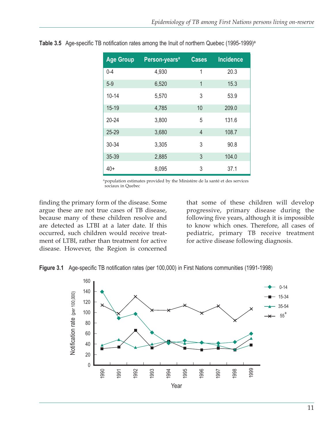| <b>Age Group</b> | Person-years <sup>a</sup> | <b>Cases</b> | <b>Incidence</b> |
|------------------|---------------------------|--------------|------------------|
| $0 - 4$          | 4,930                     | 1            | 20.3             |
| $5-9$            | 6,520                     | 1            | 15.3             |
| $10 - 14$        | 5,570                     | 3            | 53.9             |
| $15 - 19$        | 4,785                     | 10           | 209.0            |
| $20 - 24$        | 3,800                     | 5            | 131.6            |
| 25-29            | 3,680                     | 4            | 108.7            |
| 30-34            | 3,305                     | 3            | 90.8             |
| 35-39            | 2,885                     | 3            | 104.0            |
| $40+$            | 8,095                     | 3            | 37.1             |

**Table 3.5** Age-specific TB notification rates among the Inuit of northern Quebec (1995-1999)<sup>a</sup>

apopulation estimates provided by the Ministère de la santé et des services sociaux in Quebec

finding the primary form of the disease. Some argue these are not true cases of TB disease, because many of these children resolve and are detected as LTBI at a later date. If this occurred, such children would receive treatment of LTBI, rather than treatment for active disease. However, the Region is concerned

that some of these children will develop progressive, primary disease during the following five years, although it is impossible to know which ones. Therefore, all cases of pediatric, primary TB receive treatment for active disease following diagnosis.



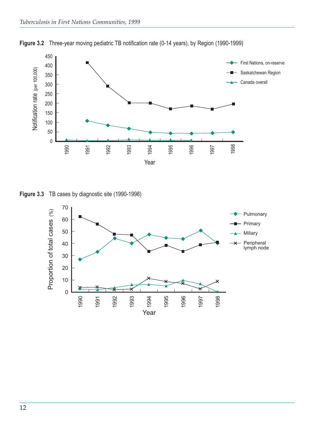

**Figure 3.2** Three-year moving pediatric TB notification rate (0-14 years), by Region (1990-1999)

**Figure 3.3** TB cases by diagnostic site (1990-1998)

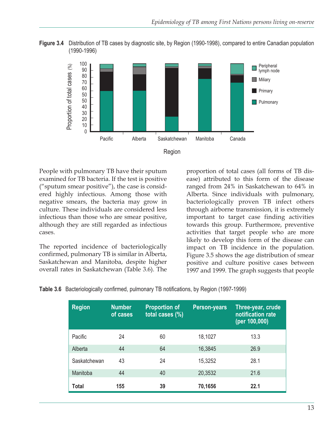





People with pulmonary TB have their sputum examined for TB bacteria. If the test is positive ("sputum smear positive"), the case is considered highly infectious. Among those with negative smears, the bacteria may grow in culture. These individuals are considered less infectious than those who are smear positive, although they are still regarded as infectious cases.

The reported incidence of bacteriologically confirmed, pulmonary TB is similar in Alberta, Saskatchewan and Manitoba, despite higher overall rates in Saskatchewan (Table 3.6). The

proportion of total cases (all forms of TB disease) attributed to this form of the disease ranged from 24% in Saskatchewan to 64% in Alberta. Since individuals with pulmonary, bacteriologically proven TB infect others through airborne transmission, it is extremely important to target case finding activities towards this group. Furthermore, preventive activities that target people who are more likely to develop this form of the disease can impact on TB incidence in the population. Figure 3.5 shows the age distribution of smear positive and culture positive cases between 1997 and 1999. The graph suggests that people

**Table 3.6** Bacteriologically confirmed, pulmonary TB notifications, by Region (1997-1999)

| <b>Region</b> | <b>Number</b><br>of cases | <b>Proportion of</b><br>total cases (%) | <b>Person-years</b> | Three-year, crude<br>notification rate<br>(per 100,000) |
|---------------|---------------------------|-----------------------------------------|---------------------|---------------------------------------------------------|
| Pacific       | 24                        | 60                                      | 18,1027             | 13.3                                                    |
| Alberta       | 44                        | 64                                      | 16,3845             | 26.9                                                    |
| Saskatchewan  | 43                        | 24                                      | 15,3252             | 28.1                                                    |
| Manitoba      | 44                        | 40                                      | 20,3532             | 21.6                                                    |
| Total         | 155                       | 39                                      | 70,1656             | 22.1                                                    |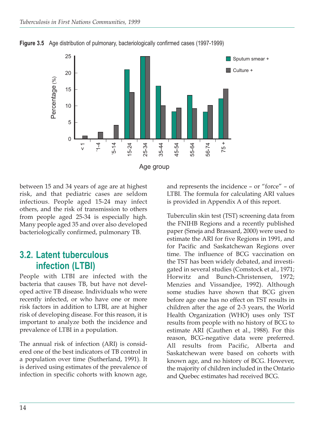

**Figure 3.5** Age distribution of pulmonary, bacteriologically confirmed cases (1997-1999)

between 15 and 34 years of age are at highest risk, and that pediatric cases are seldom infectious. People aged 15-24 may infect others, and the risk of transmission to others from people aged 25-34 is especially high. Many people aged 35 and over also developed bacteriologically confirmed, pulmonary TB.

#### **3.2. Latent tuberculous infection (LTBI)**

People with LTBI are infected with the bacteria that causes TB, but have not developed active TB disease. Individuals who were recently infected, or who have one or more risk factors in addition to LTBI, are at higher risk of developing disease. For this reason, it is important to analyze both the incidence and prevalence of LTBI in a population.

The annual risk of infection (ARI) is considered one of the best indicators of TB control in a population over time (Sutherland, 1991). It is derived using estimates of the prevalence of infection in specific cohorts with known age,

and represents the incidence – or "force" – of LTBI. The formula for calculating ARI values is provided in Appendix A of this report.

Tuberculin skin test (TST) screening data from the FNIHB Regions and a recently published paper (Smeja and Brassard, 2000) were used to estimate the ARI for five Regions in 1991, and for Pacific and Saskatchewan Regions over time. The influence of BCG vaccination on the TST has been widely debated, and investigated in several studies (Comstock et al., 1971; Horwitz and Bunch-Christensen, 1972; Menzies and Vissandjee, 1992). Although some studies have shown that BCG given before age one has no effect on TST results in children after the age of 2-3 years, the World Health Organization (WHO) uses only TST results from people with no history of BCG to estimate ARI (Cauthen et al., 1988). For this reason, BCG-negative data were preferred. All results from Pacific, Alberta and Saskatchewan were based on cohorts with known age, and no history of BCG. However, the majority of children included in the Ontario and Quebec estimates had received BCG.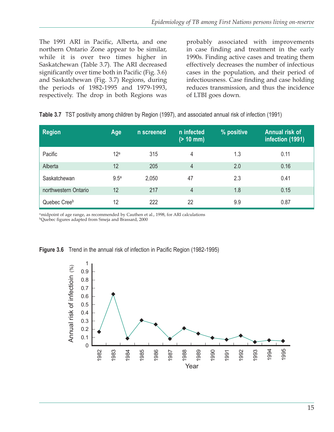The 1991 ARI in Pacific, Alberta, and one northern Ontario Zone appear to be similar, while it is over two times higher in Saskatchewan (Table 3.7). The ARI decreased significantly over time both in Pacific (Fig. 3.6) and Saskatchewan (Fig. 3.7) Regions, during the periods of 1982-1995 and 1979-1993, respectively. The drop in both Regions was probably associated with improvements in case finding and treatment in the early 1990s. Finding active cases and treating them effectively decreases the number of infectious cases in the population, and their period of infectiousness. Case finding and case holding reduces transmission, and thus the incidence of LTBI goes down.

| <b>Region</b>        | Age              | n screened | n infected<br>$( > 10$ mm) | % positive | <b>Annual risk of</b><br>infection (1991) |
|----------------------|------------------|------------|----------------------------|------------|-------------------------------------------|
| Pacific              | 12 <sup>a</sup>  | 315        | 4                          | 1.3        | 0.11                                      |
| Alberta              | 12               | 205        | 4                          | 2.0        | 0.16                                      |
| Saskatchewan         | 9.5 <sup>a</sup> | 2,050      | 47                         | 2.3        | 0.41                                      |
| northwestern Ontario | 12               | 217        | 4                          | 1.8        | 0.15                                      |
| Quebec Creeb         | 12               | 222        | 22                         | 9.9        | 0.87                                      |

|  |  |  |  | Table 3.7 TST positivity among children by Region (1997), and associated annual risk of infection (1991) |  |
|--|--|--|--|----------------------------------------------------------------------------------------------------------|--|
|--|--|--|--|----------------------------------------------------------------------------------------------------------|--|

amidpoint of age range, as recommended by Cauthen et al., 1998, for ARI calculations bQuebec figures adapted from Smeja and Brassard, 2000



**Figure 3.6** Trend in the annual risk of infection in Pacific Region (1982-1995)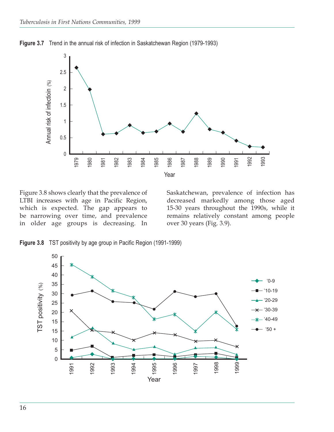

**Figure 3.7** Trend in the annual risk of infection in Saskatchewan Region (1979-1993)

Figure 3.8 shows clearly that the prevalence of LTBI increases with age in Pacific Region, which is expected. The gap appears to be narrowing over time, and prevalence in older age groups is decreasing. In Saskatchewan, prevalence of infection has decreased markedly among those aged 15-30 years throughout the 1990s, while it remains relatively constant among people over 30 years (Fig. 3.9).

**Figure 3.8** TST positivity by age group in Pacific Region (1991-1999)

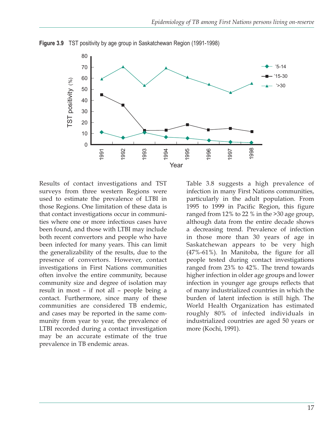

**Figure 3.9** TST positivity by age group in Saskatchewan Region (1991-1998)

Results of contact investigations and TST surveys from three western Regions were used to estimate the prevalence of LTBI in those Regions. One limitation of these data is that contact investigations occur in communities where one or more infectious cases have been found, and those with LTBI may include both recent convertors and people who have been infected for many years. This can limit the generalizability of the results, due to the presence of convertors. However, contact investigations in First Nations communities often involve the entire community, because community size and degree of isolation may result in most – if not all – people being a contact. Furthermore, since many of these communities are considered TB endemic, and cases may be reported in the same community from year to year, the prevalence of LTBI recorded during a contact investigation may be an accurate estimate of the true prevalence in TB endemic areas.

Table 3.8 suggests a high prevalence of infection in many First Nations communities, particularly in the adult population. From 1995 to 1999 in Pacific Region, this figure ranged from 12% to 22 % in the >30 age group, although data from the entire decade shows a decreasing trend. Prevalence of infection in those more than 30 years of age in Saskatchewan appears to be very high (47%-61%). In Manitoba, the figure for all people tested during contact investigations ranged from 23% to 42%. The trend towards higher infection in older age groups and lower infection in younger age groups reflects that of many industrialized countries in which the burden of latent infection is still high. The World Health Organization has estimated roughly 80% of infected individuals in industrialized countries are aged 50 years or more (Kochi, 1991).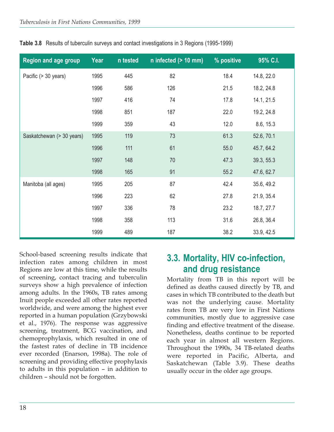| <b>Region and age group</b> | Year | n tested | $n$ infected ( $> 10$ mm) | % positive | 95% C.I.   |
|-----------------------------|------|----------|---------------------------|------------|------------|
| Pacific (> 30 years)        | 1995 | 445      | 82                        | 18.4       | 14.8, 22.0 |
|                             | 1996 | 586      | 126                       | 21.5       | 18.2, 24.8 |
|                             | 1997 | 416      | 74                        | 17.8       | 14.1, 21.5 |
|                             | 1998 | 851      | 187                       | 22.0       | 19.2, 24.8 |
|                             | 1999 | 359      | 43                        | 12.0       | 8.6, 15.3  |
| Saskatchewan (> 30 years)   | 1995 | 119      | 73                        | 61.3       | 52.6, 70.1 |
|                             | 1996 | 111      | 61                        | 55.0       | 45.7, 64.2 |
|                             | 1997 | 148      | 70                        | 47.3       | 39.3, 55.3 |
|                             | 1998 | 165      | 91                        | 55.2       | 47.6, 62.7 |
| Manitoba (all ages)         | 1995 | 205      | 87                        | 42.4       | 35.6, 49.2 |
|                             | 1996 | 223      | 62                        | 27.8       | 21.9, 35.4 |
|                             | 1997 | 336      | 78                        | 23.2       | 18.7, 27.7 |
|                             | 1998 | 358      | 113                       | 31.6       | 26.8, 36.4 |
|                             | 1999 | 489      | 187                       | 38.2       | 33.9, 42.5 |

**Table 3.8** Results of tuberculin surveys and contact investigations in 3 Regions (1995-1999)

School-based screening results indicate that infection rates among children in most Regions are low at this time, while the results of screening, contact tracing and tuberculin surveys show a high prevalence of infection among adults. In the 1960s, TB rates among Inuit people exceeded all other rates reported worldwide, and were among the highest ever reported in a human population (Grzybowski et al., 1976). The response was aggressive screening, treatment, BCG vaccination, and chemoprophylaxis, which resulted in one of the fastest rates of decline in TB incidence ever recorded (Enarson, 1998a). The role of screening and providing effective prophylaxis to adults in this population – in addition to children – should not be forgotten.

### **3.3. Mortality, HIV co-infection, and drug resistance**

Mortality from TB in this report will be defined as deaths caused directly by TB, and cases in which TB contributed to the death but was not the underlying cause. Mortality rates from TB are very low in First Nations communities, mostly due to aggressive case finding and effective treatment of the disease. Nonetheless, deaths continue to be reported each year in almost all western Regions. Throughout the 1990s, 34 TB-related deaths were reported in Pacific, Alberta, and Saskatchewan (Table 3.9). These deaths usually occur in the older age groups.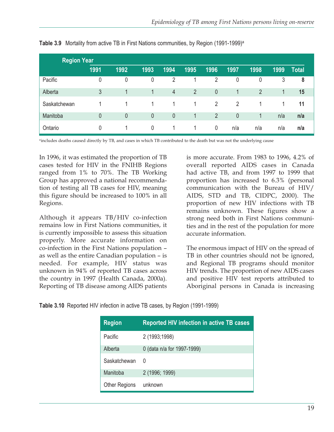| <b>Region Year</b> |              |      |             |                |                |                |      |      |      |              |
|--------------------|--------------|------|-------------|----------------|----------------|----------------|------|------|------|--------------|
|                    | 1991         | 1992 | 1993        | 1994           | 1995           | 1996           | 1997 | 1998 | 1999 | <b>Total</b> |
| Pacific            | 0            | 0    | 0           | 2              |                | 2              | 0    | 0    | 3    | 8            |
| Alberta            | $\mathbf{3}$ | 1    | 1.          | $\overline{4}$ | $\overline{2}$ | $\theta$       |      | 2    | 1    | 15           |
| Saskatchewan       |              |      |             |                | 1              | $\overline{2}$ | 2    |      |      | 11           |
| Manitoba           | $\theta$     | 0    | $\theta$    | $\theta$       | 1              | 2              | 0    | 1    | n/a  | n/a          |
| Ontario            | $\Omega$     |      | $\mathbf 0$ | 1              | 1              | 0              | n/a  | n/a  | n/a  | n/a          |

**Table 3.9** Mortality from active TB in First Nations communities, by Region (1991-1999)<sup>a</sup>

aincludes deaths caused directly by TB, and cases in which TB contributed to the death but was not the underlying cause

In 1996, it was estimated the proportion of TB cases tested for HIV in the FNIHB Regions ranged from 1% to 70%. The TB Working Group has approved a national recommendation of testing all TB cases for HIV, meaning this figure should be increased to 100% in all Regions.

Although it appears TB/HIV co-infection remains low in First Nations communities, it is currently impossible to assess this situation properly. More accurate information on co-infection in the First Nations population – as well as the entire Canadian population – is needed. For example, HIV status was unknown in 94% of reported TB cases across the country in 1997 (Health Canada, 2000a). Reporting of TB disease among AIDS patients

is more accurate. From 1983 to 1996, 4.2% of overall reported AIDS cases in Canada had active TB, and from 1997 to 1999 that proportion has increased to 6.3% (personal communication with the Bureau of HIV/ AIDS, STD and TB, CIDPC, 2000). The proportion of new HIV infections with TB remains unknown. These figures show a strong need both in First Nations communities and in the rest of the population for more accurate information.

The enormous impact of HIV on the spread of TB in other countries should not be ignored, and Regional TB programs should monitor HIV trends. The proportion of new AIDS cases and positive HIV test reports attributed to Aboriginal persons in Canada is increasing

|  |  | Table 3.10 Reported HIV infection in active TB cases, by Region (1991-1999) |  |  |  |  |
|--|--|-----------------------------------------------------------------------------|--|--|--|--|
|--|--|-----------------------------------------------------------------------------|--|--|--|--|

| <b>Region</b>        | <b>Reported HIV infection in active TB cases</b> |
|----------------------|--------------------------------------------------|
| <b>Pacific</b>       | 2 (1993;1998)                                    |
| Alberta              | 0 (data n/a for 1997-1999)                       |
| Saskatchewan         | $\Omega$                                         |
| Manitoba             | 2 (1996; 1999)                                   |
| <b>Other Regions</b> | unknown                                          |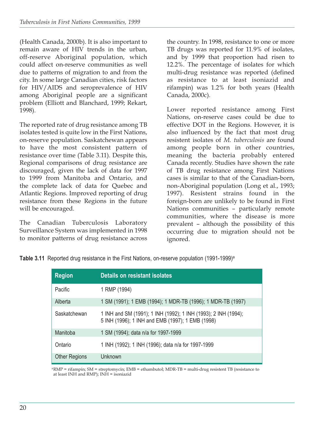(Health Canada, 2000b). It is also important to remain aware of HIV trends in the urban, off-reserve Aboriginal population, which could affect on-reserve communities as well due to patterns of migration to and from the city. In some large Canadian cities, risk factors for HIV/AIDS and seroprevalence of HIV among Aboriginal people are a significant problem (Elliott and Blanchard, 1999; Rekart, 1998).

The reported rate of drug resistance among TB isolates tested is quite low in the First Nations, on-reserve population. Saskatchewan appears to have the most consistent pattern of resistance over time (Table 3.11). Despite this, Regional comparisons of drug resistance are discouraged, given the lack of data for 1997 to 1999 from Manitoba and Ontario, and the complete lack of data for Quebec and Atlantic Regions. Improved reporting of drug resistance from these Regions in the future will be encouraged.

The Canadian Tuberculosis Laboratory Surveillance System was implemented in 1998 to monitor patterns of drug resistance across

the country. In 1998, resistance to one or more TB drugs was reported for 11.9% of isolates, and by 1999 that proportion had risen to 12.2%. The percentage of isolates for which multi-drug resistance was reported (defined as resistance to at least isoniazid and rifampin) was 1.2% for both years (Health Canada, 2000c).

Lower reported resistance among First Nations, on-reserve cases could be due to effective DOT in the Regions. However, it is also influenced by the fact that most drug resistent isolates of *M. tuberculosis* are found among people born in other countries, meaning the bacteria probably entered Canada recently. Studies have shown the rate of TB drug resistance among First Nations cases is similar to that of the Canadian-born, non-Aboriginal population (Long et al., 1993; 1997). Resistent strains found in the foreign-born are unlikely to be found in First Nations communities – particularly remote communities, where the disease is more prevalent – although the possibility of this occurring due to migration should not be ignored.

**Table 3.11** Reported drug resistance in the First Nations, on-reserve population (1991-1999)<sup>a</sup>

| <b>Region</b>        | Details on resistant isolates                                                                                      |
|----------------------|--------------------------------------------------------------------------------------------------------------------|
| Pacific              | 1 RMP (1994)                                                                                                       |
| Alberta              | 1 SM (1991); 1 EMB (1994); 1 MDR-TB (1996); 1 MDR-TB (1997)                                                        |
| Saskatchewan         | 1 INH and SM (1991); 1 INH (1992); 1 INH (1993); 2 INH (1994);<br>5 INH (1996); 1 INH and EMB (1997); 1 EMB (1998) |
| Manitoba             | 1 SM (1994); data n/a for 1997-1999                                                                                |
| Ontario              | 1 INH (1992); 1 INH (1996); data n/a for 1997-1999                                                                 |
| <b>Other Regions</b> | Unknown                                                                                                            |

aRMP = rifampin; SM = streptomycin; EMB = ethambutol; MDR-TB = multi-drug resistent TB (resistance to at least INH and RMP);  $INH =$  isoniazid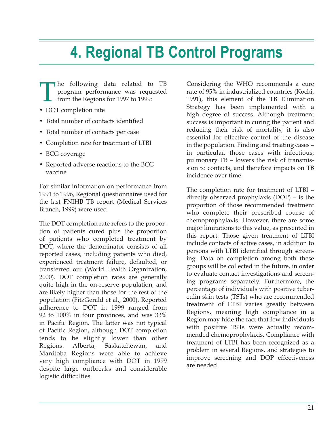# **4. Regional TB Control Programs**

- The following data related to TB program performance was requested from the Regions for 1997 to 1999: program performance was requested from the Regions for 1997 to 1999:
- DOT completion rate
- Total number of contacts identified
- Total number of contacts per case
- Completion rate for treatment of LTBI
- BCG coverage
- Reported adverse reactions to the BCG vaccine

For similar information on performance from 1991 to 1996, Regional questionnaires used for the last FNIHB TB report (Medical Services Branch, 1999) were used.

The DOT completion rate refers to the proportion of patients cured plus the proportion of patients who completed treatment by DOT, where the denominator consists of all reported cases, including patients who died, experienced treatment failure, defaulted, or transferred out (World Health Organization, 2000). DOT completion rates are generally quite high in the on-reserve population, and are likely higher than those for the rest of the population (FitzGerald et al., 2000). Reported adherence to DOT in 1999 ranged from 92 to 100% in four provinces, and was 33% in Pacific Region. The latter was not typical of Pacific Region, although DOT completion tends to be slightly lower than other Regions. Alberta, Saskatchewan, and Manitoba Regions were able to achieve very high compliance with DOT in 1999 despite large outbreaks and considerable logistic difficulties.

Considering the WHO recommends a cure rate of 95% in industrialized countries (Kochi, 1991), this element of the TB Elimination Strategy has been implemented with a high degree of success. Although treatment success is important in curing the patient and reducing their risk of mortality, it is also essential for effective control of the disease in the population. Finding and treating cases – in particular, those cases with infectious, pulmonary TB – lowers the risk of transmission to contacts, and therefore impacts on TB incidence over time.

The completion rate for treatment of LTBI – directly observed prophylaxis (DOP) – is the proportion of those recommended treatment who complete their prescribed course of chemoprophylaxis. However, there are some major limitations to this value, as presented in this report. Those given treatment of LTBI include contacts of active cases, in addition to persons with LTBI identified through screening. Data on completion among both these groups will be collected in the future, in order to evaluate contact investigations and screening programs separately. Furthermore, the percentage of individuals with positive tuberculin skin tests (TSTs) who are recommended treatment of LTBI varies greatly between Regions, meaning high compliance in a Region may hide the fact that few individuals with positive TSTs were actually recommended chemoprophylaxis. Compliance with treatment of LTBI has been recognized as a problem in several Regions, and strategies to improve screening and DOP effectiveness are needed.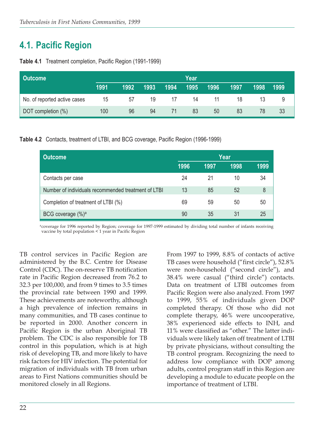# **4.1. Pacific Region**

| <b>Outcome</b>               |      |      |      |      | Year |      |      |      |      |
|------------------------------|------|------|------|------|------|------|------|------|------|
|                              | 1991 | 1992 | 1993 | 1994 | 1995 | 1996 | 1997 | 1998 | 1999 |
| No. of reported active cases | 15   | 57   | 19   | 17   | 14   | 11   | 18   | 13   |      |
| DOT completion (%)           | 100  | 96   | 94   | 71   | 83   | 50   | 83   | 78   | 33   |

**Table 4.1** Treatment completion, Pacific Region (1991-1999)

**Table 4.2** Contacts, treatment of LTBI, and BCG coverage, Pacific Region (1996-1999)

| <b>Outcome</b>                                      | Year |      |      |      |  |  |
|-----------------------------------------------------|------|------|------|------|--|--|
|                                                     | 1996 | 1997 | 1998 | 1999 |  |  |
| Contacts per case                                   | 24   | 21   | 10   | 34   |  |  |
| Number of individuals recommended treatment of LTBI | 13   | 85   | 52   | 8    |  |  |
| Completion of treatment of LTBI (%)                 | 69   | 59   | 50   | 50   |  |  |
| BCG coverage (%) <sup>a</sup>                       | 90   | 35   | 31   | 25   |  |  |

acoverage for 1996 reported by Region; coverage for 1997-1999 estimated by dividing total number of infants receiving vaccine by total population < 1 year in Pacific Region

TB control services in Pacific Region are administered by the B.C. Centre for Disease Control (CDC). The on-reserve TB notification rate in Pacific Region decreased from 76.2 to 32.3 per 100,000, and from 9 times to 3.5 times the provincial rate between 1990 and 1999. These achievements are noteworthy, although a high prevalence of infection remains in many communities, and TB cases continue to be reported in 2000. Another concern in Pacific Region is the urban Aboriginal TB problem. The CDC is also responsible for TB control in this population, which is at high risk of developing TB, and more likely to have risk factors for HIV infection. The potential for migration of individuals with TB from urban areas to First Nations communities should be monitored closely in all Regions.

From 1997 to 1999, 8.8% of contacts of active TB cases were household ("first circle"), 52.8% were non-household ("second circle"), and 38.4% were casual ("third circle") contacts. Data on treatment of LTBI outcomes from Pacific Region were also analyzed. From 1997 to 1999, 55% of individuals given DOP completed therapy. Of those who did not complete therapy, 46% were uncooperative, 38% experienced side effects to INH, and 11% were classified as "other." The latter individuals were likely taken off treatment of LTBI by private physicians, without consulting the TB control program. Recognizing the need to address low compliance with DOP among adults, control program staff in this Region are developing a module to educate people on the importance of treatment of LTBI.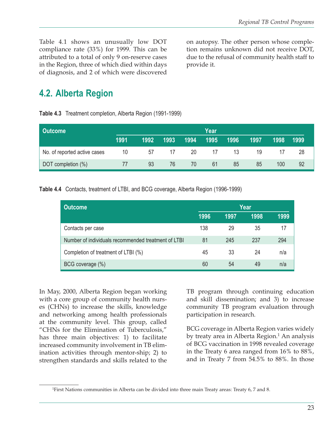Table 4.1 shows an unusually low DOT compliance rate (33%) for 1999. This can be attributed to a total of only 9 on-reserve cases in the Region, three of which died within days of diagnosis, and 2 of which were discovered

on autopsy. The other person whose completion remains unknown did not receive DOT, due to the refusal of community health staff to provide it.

# **4.2. Alberta Region**

**Table 4.3** Treatment completion, Alberta Region (1991-1999)

| <b>Outcome</b>               |      |      |      |      | Year |      |      |      |      |
|------------------------------|------|------|------|------|------|------|------|------|------|
|                              | 1991 | 1992 | 1993 | 1994 | 1995 | 1996 | 1997 | 1998 | 1999 |
| No. of reported active cases | 10   | 57   | 17   | 20   | 17   | 13   | 19   |      | 28   |
| DOT completion (%)           |      | 93   | 76   | 70   | 61   | 85   | 85   | 100  | 92   |

**Table 4.4** Contacts, treatment of LTBI, and BCG coverage, Alberta Region (1996-1999)

| <b>Outcome</b>                                      |      |      | Year |      |
|-----------------------------------------------------|------|------|------|------|
|                                                     | 1996 | 1997 | 1998 | 1999 |
| Contacts per case                                   | 138  | 29   | 35   | 17   |
| Number of individuals recommended treatment of LTBI | 81   | 245  | 237  | 294  |
| Completion of treatment of LTBI (%)                 | 45   | 33   | 24   | n/a  |
| BCG coverage (%)                                    | 60   | 54   | 49   | n/a  |

In May, 2000, Alberta Region began working with a core group of community health nurses (CHNs) to increase the skills, knowledge and networking among health professionals at the community level. This group, called "CHNs for the Elimination of Tuberculosis," has three main objectives: 1) to facilitate increased community involvement in TB elimination activities through mentor-ship; 2) to strengthen standards and skills related to the

TB program through continuing education and skill dissemination; and 3) to increase community TB program evaluation through participation in research.

BCG coverage in Alberta Region varies widely by treaty area in Alberta Region.<sup>1</sup> An analysis of BCG vaccination in 1998 revealed coverage in the Treaty 6 area ranged from 16% to 88%, and in Treaty 7 from 54.5% to 88%. In those

<sup>1</sup> First Nations communities in Alberta can be divided into three main Treaty areas: Treaty 6, 7 and 8.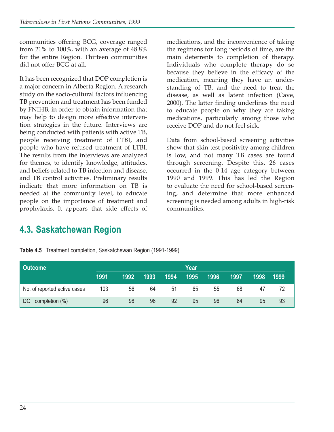communities offering BCG, coverage ranged from 21% to 100%, with an average of 48.8% for the entire Region. Thirteen communities did not offer BCG at all.

It has been recognized that DOP completion is a major concern in Alberta Region. A research study on the socio-cultural factors influencing TB prevention and treatment has been funded by FNIHB, in order to obtain information that may help to design more effective intervention strategies in the future. Interviews are being conducted with patients with active TB, people receiving treatment of LTBI, and people who have refused treatment of LTBI. The results from the interviews are analyzed for themes, to identify knowledge, attitudes, and beliefs related to TB infection and disease, and TB control activities. Preliminary results indicate that more information on TB is needed at the community level, to educate people on the importance of treatment and prophylaxis. It appears that side effects of

medications, and the inconvenience of taking the regimens for long periods of time, are the main deterrents to completion of therapy. Individuals who complete therapy do so because they believe in the efficacy of the medication, meaning they have an understanding of TB, and the need to treat the disease, as well as latent infection (Cave, 2000). The latter finding underlines the need to educate people on why they are taking medications, particularly among those who receive DOP and do not feel sick.

Data from school-based screening activities show that skin test positivity among children is low, and not many TB cases are found through screening. Despite this, 26 cases occurred in the 0-14 age category between 1990 and 1999. This has led the Region to evaluate the need for school-based screening, and determine that more enhanced screening is needed among adults in high-risk communities.

## **4.3. Saskatchewan Region**

**Table 4.5** Treatment completion, Saskatchewan Region (1991-1999)

| <b>Outcome</b>               |      |      |      |      | Year |      |      |      |      |
|------------------------------|------|------|------|------|------|------|------|------|------|
|                              | 1991 | 1992 | 1993 | 1994 | 1995 | 1996 | 1997 | 1998 | 1999 |
| No. of reported active cases | 103  | 56   | 64   | 51   | 65   | 55   | 68   | 47   |      |
| DOT completion (%)           | 96   | 98   | 96   | 92   | 95   | 96   | 84   | 95   | 93   |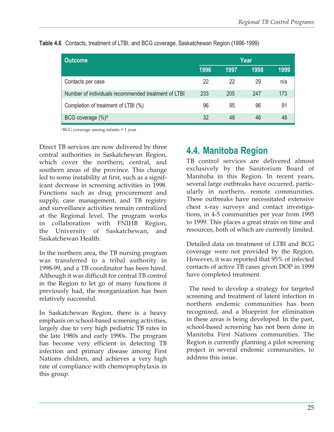| <b>Outcome</b>                                      | Year |      |      |      |  |  |  |
|-----------------------------------------------------|------|------|------|------|--|--|--|
|                                                     | 1996 | 1997 | 1998 | 1999 |  |  |  |
| Contacts per case                                   | 22   | 22   | 29   | n/a  |  |  |  |
| Number of individuals recommended treatment of LTBI | 233  | 205  | 247  | 173  |  |  |  |
| Completion of treatment of LTBI (%)                 | 96   | 95   | 96   | 91   |  |  |  |
| BCG coverage $(\%)^a$                               | 32   | 48   | 46   | 48   |  |  |  |

**Table 4.6** Contacts, treatment of LTBI, and BCG coverage, Saskatchewan Region (1996-1999)

aBCG coverage among infants < 1 year

Direct TB services are now delivered by three central authorities in Saskatchewan Region, which cover the northern, central, and southern areas of the province. This change led to some instability at first, such as a significant decrease in screening activities in 1998. Functions such as drug procurement and supply, case management, and TB registry and surveillance activities remain centralized at the Regional level. The program works in collaboration with FNIHB Region, the University of Saskatchewan, and Saskatchewan Health.

In the northern area, the TB nursing program was transferred to a tribal authority in 1998-99, and a TB coordinator has been hired. Although it was difficult for central TB control in the Region to let go of many functions it previously had, the reorganization has been relatively successful.

In Saskatchewan Region, there is a heavy emphasis on school-based screening activities, largely due to very high pediatric TB rates in the late 1980s and early 1990s. The program has become very efficient in detecting TB infection and primary disease among First Nations children, and achieves a very high rate of compliance with chemoprophylaxis in this group.

### **4.4. Manitoba Region**

TB control services are delivered almost exclusively by the Sanitorium Board of Manitoba in this Region. In recent years, several large outbreaks have occurred, particularly in northern, remote communities. These outbreaks have necessitated extensive chest x-ray surveys and contact investigations, in 4-5 communities per year from 1995 to 1999. This places a great strain on time and resources, both of which are currently limited.

Detailed data on treatment of LTBI and BCG coverage were not provided by the Region. However, it was reported that 95% of infected contacts of active TB cases given DOP in 1999 have completed treatment.

The need to develop a strategy for targeted screening and treatment of latent infection in northern endemic communities has been recognized, and a blueprint for elimination in these areas is being developed. In the past, school-based screening has not been done in Manitoba First Nations communities. The Region is currently planning a pilot screening project in several endemic communities, to address this issue.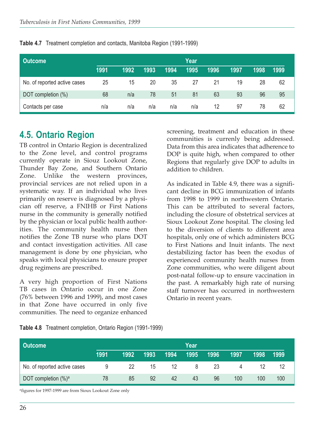| <b>Outcome</b>               |      |      |      |      | Year |      |      |      |      |
|------------------------------|------|------|------|------|------|------|------|------|------|
|                              | 1991 | 1992 | 1993 | 1994 | 1995 | 1996 | 1997 | 1998 | 1999 |
| No. of reported active cases | 25   | 15   | 20   | 35   | 27   | 21   | 19   | 28   | 62   |
| DOT completion (%)           | 68   | n/a  | 78   | 51   | 81   | 63   | 93   | 96   | 95   |
| Contacts per case            | n/a  | n/a  | n/a  | n/a  | n/a  | 12   | 97   | 78   | 62   |

**Table 4.7** Treatment completion and contacts, Manitoba Region (1991-1999)

### **4.5. Ontario Region**

TB control in Ontario Region is decentralized to the Zone level, and control programs currently operate in Siouz Lookout Zone, Thunder Bay Zone, and Southern Ontario Zone. Unlike the western provinces, provincial services are not relied upon in a systematic way. If an individual who lives primarily on reserve is diagnosed by a physician off reserve, a FNIHB or First Nations nurse in the community is generally notified by the physician or local public health authorities. The community health nurse then notifies the Zone TB nurse who plans DOT and contact investigation activities. All case management is done by one physician, who speaks with local physicians to ensure proper drug regimens are prescribed.

A very high proportion of First Nations TB cases in Ontario occur in one Zone (76% between 1996 and 1999), and most cases in that Zone have occurred in only five communities. The need to organize enhanced

screening, treatment and education in these communities is currenly being addressed. Data from this area indicates that adherence to DOP is quite high, when compared to other Regions that regularly give DOP to adults in addition to children.

As indicated in Table 4.9, there was a significant decline in BCG immunization of infants from 1998 to 1999 in northwestern Ontario. This can be attributed to several factors, including the closure of obstetrical services at Sioux Lookout Zone hospital. The closing led to the diversion of clients to different area hospitals, only one of which administers BCG to First Nations and Inuit infants. The next destabilizing factor has been the exodus of experienced community health nurses from Zone communities, who were diligent about post-natal follow-up to ensure vaccination in the past. A remarkably high rate of nursing staff turnover has occurred in northwestern Ontario in recent years.

|  |  | Table 4.8 Treatment completion, Ontario Region (1991-1999) |  |  |  |  |
|--|--|------------------------------------------------------------|--|--|--|--|
|--|--|------------------------------------------------------------|--|--|--|--|

| <b>Outcome</b><br>Year       |      |      |      |      |      |      |      |      |      |
|------------------------------|------|------|------|------|------|------|------|------|------|
|                              | 1991 | 1992 | 1993 | 1994 | 1995 | 1996 | 1997 | 1998 | 1999 |
| No. of reported active cases | 9    | 22   | 15   | -12  | 8    | 23   |      | 12   |      |
| DOT completion $(\%)^a$      | 78   | 85   | 92   | 42   | 43   | 96   | 100  | 100  | 100  |

afigures for 1997-1999 are from Sioux Lookout Zone only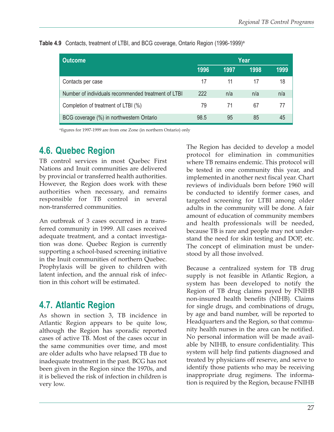| <b>Outcome</b>                                      | Year |      |      |      |  |  |  |
|-----------------------------------------------------|------|------|------|------|--|--|--|
|                                                     | 1996 | 1997 | 1998 | 1999 |  |  |  |
| Contacts per case                                   | 17   | 11   | 17   | 18   |  |  |  |
| Number of individuals recommended treatment of LTBI | 222  | n/a  | n/a  | n/a  |  |  |  |
| Completion of treatment of LTBI (%)                 | 79   | 71   | 67   |      |  |  |  |
| BCG coverage (%) in northwestern Ontario            | 98.5 | 95   | 85   | 45   |  |  |  |

**Table 4.9** Contacts, treatment of LTBI, and BCG coverage, Ontario Region (1996-1999)<sup>a</sup>

afigures for 1997-1999 are from one Zone (in northern Ontario) only

# **4.6. Quebec Region**

TB control services in most Quebec First Nations and Inuit communities are delivered by provincial or transferred health authorities. However, the Region does work with these authorities when necessary, and remains responsible for TB control in several non-transferred communities.

An outbreak of 3 cases occurred in a transferred community in 1999. All cases received adequate treatment, and a contact investigation was done. Quebec Region is currently supporting a school-based screening initiative in the Inuit communities of northern Quebec. Prophylaxis will be given to children with latent infection, and the annual risk of infection in this cohort will be estimated.

# **4.7. Atlantic Region**

As shown in section 3, TB incidence in Atlantic Region appears to be quite low, although the Region has sporadic reported cases of active TB. Most of the cases occur in the same communities over time, and most are older adults who have relapsed TB due to inadequate treatment in the past. BCG has not been given in the Region since the 1970s, and it is believed the risk of infection in children is very low.

The Region has decided to develop a model protocol for elimination in communities where TB remains endemic. This protocol will be tested in one community this year, and implemented in another next fiscal year. Chart reviews of individuals born before 1960 will be conducted to identify former cases, and targeted screening for LTBI among older adults in the community will be done. A fair amount of education of community members and health professionals will be needed, because TB is rare and people may not understand the need for skin testing and DOP, etc. The concept of elimination must be understood by all those involved.

Because a centralized system for TB drug supply is not feasible in Atlantic Region, a system has been developed to notify the Region of TB drug claims payed by FNIHB non-insured health benefits (NIHB). Claims for single drugs, and combinations of drugs, by age and band number, will be reported to Headquarters and the Region, so that community health nurses in the area can be notified. No personal information will be made available by NIHB, to ensure confidentiality. This system will help find patients diagnosed and treated by physicians off reserve, and serve to identify those patients who may be receiving inappropriate drug regimens. The information is required by the Region, because FNIHB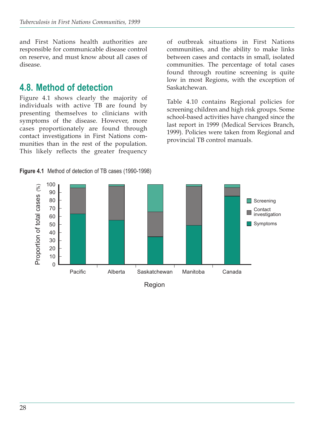and First Nations health authorities are responsible for communicable disease control on reserve, and must know about all cases of disease.

## **4.8. Method of detection**

Figure 4.1 shows clearly the majority of individuals with active TB are found by presenting themselves to clinicians with symptoms of the disease. However, more cases proportionately are found through contact investigations in First Nations communities than in the rest of the population. This likely reflects the greater frequency of outbreak situations in First Nations communities, and the ability to make links between cases and contacts in small, isolated communities. The percentage of total cases found through routine screening is quite low in most Regions, with the exception of Saskatchewan.

Table 4.10 contains Regional policies for screening children and high risk groups. Some school-based activities have changed since the last report in 1999 (Medical Services Branch, 1999). Policies were taken from Regional and provincial TB control manuals.

**Figure 4.1** Method of detection of TB cases (1990-1998)

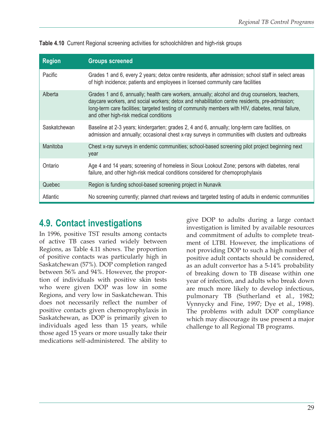| <b>Region</b> | <b>Groups screened</b>                                                                                                                                                                                                                                                                                                                             |
|---------------|----------------------------------------------------------------------------------------------------------------------------------------------------------------------------------------------------------------------------------------------------------------------------------------------------------------------------------------------------|
| Pacific       | Grades 1 and 6, every 2 years; detox centre residents, after admission; school staff in select areas<br>of high incidence; patients and employees in licensed community care facilities                                                                                                                                                            |
| Alberta       | Grades 1 and 6, annually; health care workers, annually; alcohol and drug counselors, teachers,<br>daycare workers, and social workers; detox and rehabilitation centre residents, pre-admission;<br>long-term care facilities; targeted testing of community members with HIV, diabetes, renal failure,<br>and other high-risk medical conditions |
| Saskatchewan  | Baseline at 2-3 years; kindergarten; grades 2, 4 and 6, annually; long-term care facilities, on<br>admission and annually; occasional chest x-ray surveys in communities with clusters and outbreaks                                                                                                                                               |
| Manitoba      | Chest x-ray surveys in endemic communities; school-based screening pilot project beginning next<br>year                                                                                                                                                                                                                                            |
| Ontario       | Age 4 and 14 years; screening of homeless in Sioux Lookout Zone; persons with diabetes, renal<br>failure, and other high-risk medical conditions considered for chemoprophylaxis                                                                                                                                                                   |
| Quebec        | Region is funding school-based screening project in Nunavik                                                                                                                                                                                                                                                                                        |
| Atlantic      | No screening currently; planned chart reviews and targeted testing of adults in endemic communities                                                                                                                                                                                                                                                |

**Table 4.10** Current Regional screening activities for schoolchildren and high-risk groups

## **4.9. Contact investigations**

In 1996, positive TST results among contacts of active TB cases varied widely between Regions, as Table 4.11 shows. The proportion of positive contacts was particularly high in Saskatchewan (57%). DOP completion ranged between 56% and 94%. However, the proportion of individuals with positive skin tests who were given DOP was low in some Regions, and very low in Saskatchewan. This does not necessarily reflect the number of positive contacts given chemoprophylaxis in Saskatchewan, as DOP is primarily given to individuals aged less than 15 years, while those aged 15 years or more usually take their medications self-administered. The ability to

give DOP to adults during a large contact investigation is limited by available resources and commitment of adults to complete treatment of LTBI. However, the implications of not providing DOP to such a high number of positive adult contacts should be considered, as an adult convertor has a 5-14% probability of breaking down to TB disease within one year of infection, and adults who break down are much more likely to develop infectious, pulmonary TB (Sutherland et al., 1982; Vynnycky and Fine, 1997; Dye et al., 1998). The problems with adult DOP compliance which may discourage its use present a major challenge to all Regional TB programs.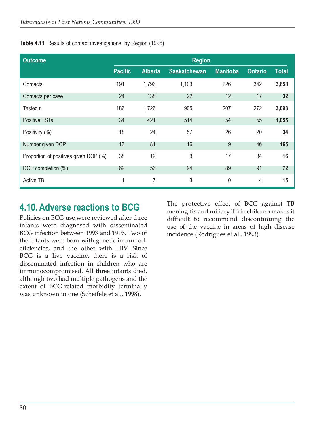|  |  |  | Table 4.11 Results of contact investigations, by Region (1996) |  |  |  |
|--|--|--|----------------------------------------------------------------|--|--|--|
|--|--|--|----------------------------------------------------------------|--|--|--|

| <b>Outcome</b>                        | <b>Region</b>  |                |                     |                 |                |              |  |  |
|---------------------------------------|----------------|----------------|---------------------|-----------------|----------------|--------------|--|--|
|                                       | <b>Pacific</b> | <b>Alberta</b> | <b>Saskatchewan</b> | <b>Manitoba</b> | <b>Ontario</b> | <b>Total</b> |  |  |
| Contacts                              | 191            | 1,796          | 1,103               | 226             | 342            | 3,658        |  |  |
| Contacts per case                     | 24             | 138            | 22                  | 12              | 17             | 32           |  |  |
| Tested n                              | 186            | 1,726          | 905                 | 207             | 272            | 3,093        |  |  |
| Positive TSTs                         | 34             | 421            | 514                 | 54              | 55             | 1,055        |  |  |
| Positivity (%)                        | 18             | 24             | 57                  | 26              | 20             | 34           |  |  |
| Number given DOP                      | 13             | 81             | 16                  | 9               | 46             | 165          |  |  |
| Proportion of positives given DOP (%) | 38             | 19             | 3                   | 17              | 84             | 16           |  |  |
| DOP completion (%)                    | 69             | 56             | 94                  | 89              | 91             | 72           |  |  |
| <b>Active TB</b>                      | 1              | 7              | 3                   | 0               | $\overline{4}$ | 15           |  |  |

## **4.10. Adverse reactions to BCG**

Policies on BCG use were reviewed after three infants were diagnosed with disseminated BCG infection between 1993 and 1996. Two of the infants were born with genetic immunodeficiencies, and the other with HIV. Since BCG is a live vaccine, there is a risk of disseminated infection in children who are immunocompromised. All three infants died, although two had multiple pathogens and the extent of BCG-related morbidity terminally was unknown in one (Scheifele et al., 1998).

The protective effect of BCG against TB meningitis and miliary TB in children makes it difficult to recommend discontinuing the use of the vaccine in areas of high disease incidence (Rodrigues et al., 1993).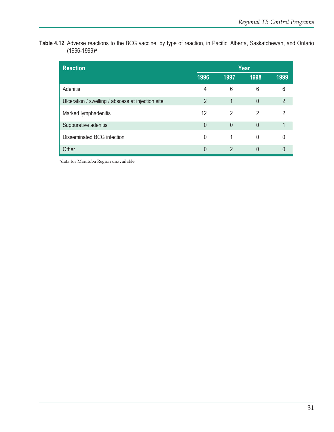**Table 4.12** Adverse reactions to the BCG vaccine, by type of reaction, in Pacific, Alberta, Saskatchewan, and Ontario (1996-1999)a

| <b>Reaction</b>                                   | Year           |               |      |                |  |  |
|---------------------------------------------------|----------------|---------------|------|----------------|--|--|
|                                                   | 1996           | 1997          | 1998 | 1999           |  |  |
| Adenitis                                          | 4              | 6             | 6    | 6              |  |  |
| Ulceration / swelling / abscess at injection site | $\overline{2}$ |               | 0    | $\overline{2}$ |  |  |
| Marked lymphadenitis                              | 12             | $\mathcal{P}$ | 2    | $\mathfrak{p}$ |  |  |
| Suppurative adenitis                              | 0              | $\Omega$      | 0    |                |  |  |
| Disseminated BCG infection                        | 0              |               | 0    | 0              |  |  |
| Other                                             | 0              | 2             | 0    | 0              |  |  |

<sup>a</sup>data for Manitoba Region unavailable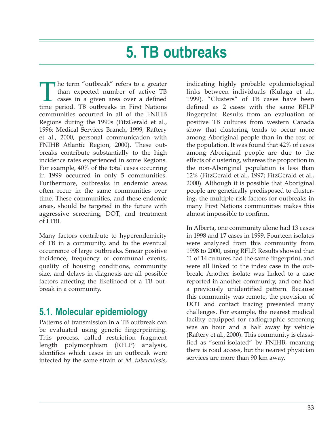# **5. TB outbreaks**

The term "outbreak" refers to a greater<br>than expected number of active TB<br>cases in a given area over a defined<br>time period. TB outbreaks in First Nations than expected number of active TB cases in a given area over a defined time period. TB outbreaks in First Nations communities occurred in all of the FNIHB Regions during the 1990s (FitzGerald et al., 1996; Medical Services Branch, 1999; Raftery et al., 2000, personal communication with FNIHB Atlantic Region, 2000). These outbreaks contribute substantially to the high incidence rates experienced in some Regions. For example, 40% of the total cases occurring in 1999 occurred in only 5 communities. Furthermore, outbreaks in endemic areas often recur in the same communities over time. These communities, and these endemic areas, should be targeted in the future with aggressive screening, DOT, and treatment of LTBI.

Many factors contribute to hyperendemicity of TB in a community, and to the eventual occurrence of large outbreaks. Smear positive incidence, frequency of communal events, quality of housing conditions, community size, and delays in diagnosis are all possible factors affecting the likelihood of a TB outbreak in a community.

# **5.1. Molecular epidemiology**

Patterns of transmission in a TB outbreak can be evaluated using genetic fingerprinting. This process, called restriction fragment length polymorphism (RFLP) analysis, identifies which cases in an outbreak were infected by the same strain of *M. tuberculosis*,

indicating highly probable epidemiological links between individuals (Kulaga et al., 1999). "Clusters" of TB cases have been defined as 2 cases with the same RFLP fingerprint. Results from an evaluation of positive TB cultures from western Canada show that clustering tends to occur more among Aboriginal people than in the rest of the population. It was found that 42% of cases among Aboriginal people are due to the effects of clustering, whereas the proportion in the non-Aboriginal population is less than 12% (FitzGerald et al., 1997; FitzGerald et al., 2000). Although it is possible that Aboriginal people are genetically predisposed to clustering, the multiple risk factors for outbreaks in many First Nations communities makes this almost impossible to confirm.

In Alberta, one community alone had 13 cases in 1998 and 17 cases in 1999. Fourteen isolates were analyzed from this community from 1998 to 2000, using RFLP. Results showed that 11 of 14 cultures had the same fingerprint, and were all linked to the index case in the outbreak. Another isolate was linked to a case reported in another community, and one had a previously unidentified pattern. Because this community was remote, the provision of DOT and contact tracing presented many challenges. For example, the nearest medical facility equipped for radiographic screening was an hour and a half away by vehicle (Raftery et al., 2000). This community is classified as "semi-isolated" by FNIHB, meaning there is road access, but the nearest physician services are more than 90 km away.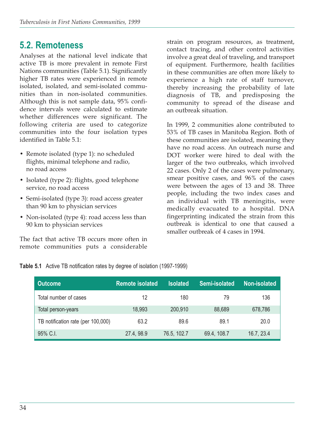## **5.2. Remoteness**

Analyses at the national level indicate that active TB is more prevalent in remote First Nations communities (Table 5.1). Significantly higher TB rates were experienced in remote isolated, isolated, and semi-isolated communities than in non-isolated communities. Although this is not sample data, 95% confidence intervals were calculated to estimate whether differences were significant. The following criteria are used to categorize communities into the four isolation types identified in Table 5.1:

- Remote isolated (type 1): no scheduled flights, minimal telephone and radio, no road access
- Isolated (type 2): flights, good telephone service, no road access
- Semi-isolated (type 3): road access greater than 90 km to physician services
- Non-isolated (type 4): road access less than 90 km to physician services

The fact that active TB occurs more often in remote communities puts a considerable

strain on program resources, as treatment, contact tracing, and other control activities involve a great deal of traveling, and transport of equipment. Furthermore, health facilities in these communities are often more likely to experience a high rate of staff turnover, thereby increasing the probability of late diagnosis of TB, and predisposing the community to spread of the disease and an outbreak situation.

In 1999, 2 communities alone contributed to 53% of TB cases in Manitoba Region. Both of these communities are isolated, meaning they have no road access. An outreach nurse and DOT worker were hired to deal with the larger of the two outbreaks, which involved 22 cases. Only 2 of the cases were pulmonary, smear positive cases, and 96% of the cases were between the ages of 13 and 38. Three people, including the two index cases and an individual with TB meningitis, were medically evacuated to a hospital. DNA fingerprinting indicated the strain from this outbreak is identical to one that caused a smaller outbreak of 4 cases in 1994.

|  |  |  |  |  |  |  |  |  | Table 5.1 Active TB notification rates by degree of isolation (1997-1999) |  |
|--|--|--|--|--|--|--|--|--|---------------------------------------------------------------------------|--|
|--|--|--|--|--|--|--|--|--|---------------------------------------------------------------------------|--|

| <b>Outcome</b>                     | <b>Remote isolated</b> | <b>Isolated</b> | Semi-isolated | Non-isolated |
|------------------------------------|------------------------|-----------------|---------------|--------------|
| Total number of cases              | 12                     | 180             | 79            | 136          |
| Total person-years                 | 18,993                 | 200,910         | 88,689        | 678,786      |
| TB notification rate (per 100,000) | 63.2                   | 89.6            | 89.1          | 20.0         |
| 95% C.I.                           | 27.4, 98.9             | 76.5, 102.7     | 69.4, 108.7   | 16.7, 23.4   |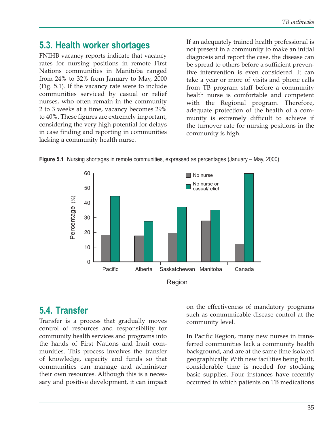# **5.3. Health worker shortages**

FNIHB vacancy reports indicate that vacancy rates for nursing positions in remote First Nations communities in Manitoba ranged from 24% to 32% from January to May, 2000 (Fig. 5.1). If the vacancy rate were to include communities serviced by casual or relief nurses, who often remain in the community 2 to 3 weeks at a time, vacancy becomes 29% to 40%. These figures are extremely important, considering the very high potential for delays in case finding and reporting in communities lacking a community health nurse.

If an adequately trained health professional is not present in a community to make an initial diagnosis and report the case, the disease can be spread to others before a sufficient preventive intervention is even considered. It can take a year or more of visits and phone calls from TB program staff before a community health nurse is comfortable and competent with the Regional program. Therefore, adequate protection of the health of a community is extremely difficult to achieve if the turnover rate for nursing positions in the community is high.





## **5.4. Transfer**

Transfer is a process that gradually moves control of resources and responsibility for community health services and programs into the hands of First Nations and Inuit communities. This process involves the transfer of knowledge, capacity and funds so that communities can manage and administer their own resources. Although this is a necessary and positive development, it can impact

on the effectiveness of mandatory programs such as communicable disease control at the community level.

In Pacific Region, many new nurses in transferred communities lack a community health background, and are at the same time isolated geographically. With new facilities being built, considerable time is needed for stocking basic supplies. Four instances have recently occurred in which patients on TB medications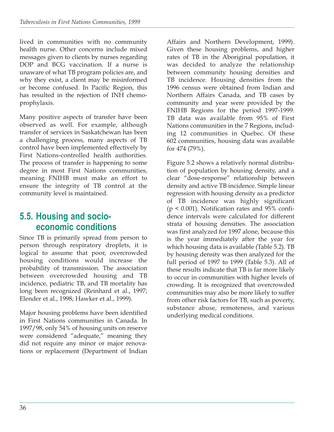lived in communities with no community health nurse. Other concerns include mixed messages given to clients by nurses regarding DOP and BCG vaccination. If a nurse is unaware of what TB program policies are, and why they exist, a client may be misinformed or become confused. In Pacific Region, this has resulted in the rejection of INH chemoprophylaxis.

Many positive aspects of transfer have been observed as well. For example, although transfer of services in Saskatchewan has been a challenging process, many aspects of TB control have been implemented effectively by First Nations-controlled health authorities. The process of transfer is happening to some degree in most First Nations communities, meaning FNIHB must make an effort to ensure the integrity of TB control at the community level is maintained.

# **5.5. Housing and socioeconomic conditions**

Since TB is primarily spread from person to person through respiratory droplets, it is logical to assume that poor, overcrowded housing conditions would increase the probability of transmission. The association between overcrowded housing and TB incidence, pediatric TB, and TB mortality has long been recognized (Reinhard et al., 1997; Elender et al., 1998; Hawker et al., 1999).

Major housing problems have been identified in First Nations communities in Canada. In 1997/98, only 54% of housing units on reserve were considered "adequate," meaning they did not require any minor or major renovations or replacement (Department of Indian

Affairs and Northern Development, 1999). Given these housing problems, and higher rates of TB in the Aboriginal population, it was decided to analyze the relationship between community housing densities and TB incidence. Housing densities from the 1996 census were obtained from Indian and Northern Affairs Canada, and TB cases by community and year were provided by the FNIHB Regions for the period 1997-1999. TB data was available from 95% of First Nations communities in the 7 Regions, including 12 communities in Quebec. Of these 602 communities, housing data was available for 474 (79%).

Figure 5.2 shows a relatively normal distribution of population by housing density, and a clear "dose-response" relationship between density and active TB incidence. Simple linear regression with housing density as a predictor of TB incidence was highly significant  $(p < 0.001)$ . Notification rates and 95% confidence intervals were calculated for different strata of housing densities. The association was first analyzed for 1997 alone, because this is the year immediately after the year for which housing data is available (Table 5.2). TB by housing density was then analyzed for the full period of 1997 to 1999 (Table 5.3). All of these results indicate that TB is far more likely to occur in communities with higher levels of crowding. It is recognized that overcrowded communities may also be more likely to suffer from other risk factors for TB, such as poverty, substance abuse, remoteness, and various underlying medical conditions.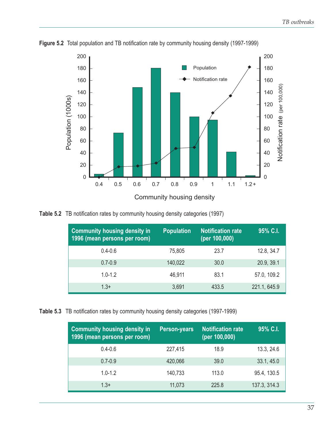

**Figure 5.2** Total population and TB notification rate by community housing density (1997-1999)

**Table 5.2** TB notification rates by community housing density categories (1997)

| <b>Community housing density in</b><br>1996 (mean persons per room) | <b>Population</b> | <b>Notification rate</b><br>(per 100,000) | 95% C.I.     |
|---------------------------------------------------------------------|-------------------|-------------------------------------------|--------------|
| $0.4 - 0.6$                                                         | 75,805            | 23.7                                      | 12.8, 34.7   |
| $0.7 - 0.9$                                                         | 140,022           | 30.0                                      | 20.9, 39.1   |
| $1.0 - 1.2$                                                         | 46,911            | 83.1                                      | 57.0, 109.2  |
| $1.3+$                                                              | 3,691             | 433.5                                     | 221.1, 645.9 |

**Table 5.3** TB notification rates by community housing density categories (1997-1999)

| <b>Community housing density in</b><br>1996 (mean persons per room) | <b>Person-years</b> | <b>Notification rate</b><br>(per 100,000) | 95% C.I.     |
|---------------------------------------------------------------------|---------------------|-------------------------------------------|--------------|
| $0.4 - 0.6$                                                         | 227,415             | 18.9                                      | 13.3, 24.6   |
| $0.7 - 0.9$                                                         | 420,066             | 39.0                                      | 33.1, 45.0   |
| $1.0 - 1.2$                                                         | 140,733             | 113.0                                     | 95.4, 130.5  |
| $1.3+$                                                              | 11,073              | 225.8                                     | 137.3, 314.3 |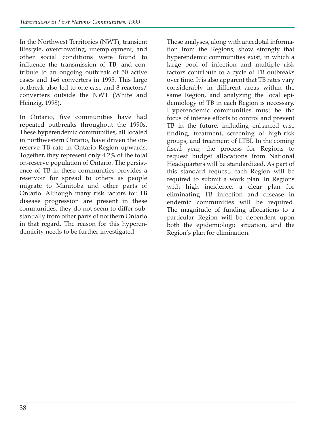In the Northwest Territories (NWT), transient lifestyle, overcrowding, unemployment, and other social conditions were found to influence the transmission of TB, and contribute to an ongoing outbreak of 50 active cases and 146 converters in 1995. This large outbreak also led to one case and 8 reactors/ converters outside the NWT (White and Heinzig, 1998).

In Ontario, five communities have had repeated outbreaks throughout the 1990s. These hyperendemic communities, all located in northwestern Ontario, have driven the onreserve TB rate in Ontario Region upwards. Together, they represent only 4.2% of the total on-reserve population of Ontario. The persistence of TB in these communities provides a reservoir for spread to others as people migrate to Manitoba and other parts of Ontario. Although many risk factors for TB disease progression are present in these communities, they do not seem to differ substantially from other parts of northern Ontario in that regard. The reason for this hyperendemicity needs to be further investigated.

These analyses, along with anecdotal information from the Regions, show strongly that hyperendemic communities exist, in which a large pool of infection and multiple risk factors contribute to a cycle of TB outbreaks over time. It is also apparent that TB rates vary considerably in different areas within the same Region, and analyzing the local epidemiology of TB in each Region is necessary. Hyperendemic communities must be the focus of intense efforts to control and prevent TB in the future, including enhanced case finding, treatment, screening of high-risk groups, and treatment of LTBI. In the coming fiscal year, the process for Regions to request budget allocations from National Headquarters will be standardized. As part of this standard request, each Region will be required to submit a work plan. In Regions with high incidence, a clear plan for eliminating TB infection and disease in endemic communities will be required. The magnitude of funding allocations to a particular Region will be dependent upon both the epidemiologic situation, and the Region's plan for elimination.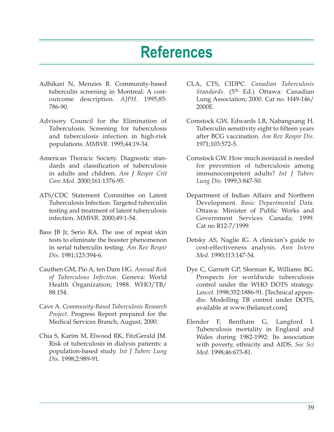# **References**

- Adhikari N, Menzies R. Community-based tuberculin screening in Montreal: A costoutcome description. *AJPH*. 1995;85: 786-90.
- Advisory Council for the Elimination of Tuberculosis. Screening for tuberculosis and tuberculosis infection in high-risk populations. *MMWR*. 1995;44:19-34.
- American Thoracic Society. Diagnostic standards and classification of tuberculosis in adults and children. *Am J Respir Crit Care Med*. 2000;161:1376-95.
- ATS/CDC Statement Committee on Latent Tuberculosis Infection. Targeted tuberculin testing and treatment of latent tuberculosis infection. *MMWR*. 2000;49:1-54.
- Bass JB Jr, Serio RA. The use of repeat skin tests to eliminate the booster phenomenon in serial tuberculin testing. *Am Rev Respir Dis*. 1981;123:394-6.
- Cauthen GM, Pio A, ten Dam HG. *Annual Risk of Tuberculous Infection*. Geneva: World Health Organization; 1988. WHO/TB/ 88.154.
- Cave A. *Community-Based Tuberculosis Research Project*. Progress Report prepared for the Medical Services Branch, August, 2000.
- Chia S, Karim M, Elwood RK, FitzGerald JM. Risk of tuberculosis in dialysis patients: a population-based study. *Int J Tuberc Lung Dis*. 1998;2:989-91.
- CLA, CTS, CIDPC. *Canadian Tuberculosis* Standards. (5<sup>th</sup> Ed.) Ottawa: Canadian Lung Association; 2000. Cat no. H49-146/ 2000E.
- Comstock GW, Edwards LB, Nabangxang H. Tuberculin sensitivity eight to fifteen years after BCG vaccination. *Am Rev Respir Dis*. 1971;103:572-5.
- Comstock GW. How much isoniazid is needed for prevention of tuberculosis among immunocompetent adults? *Int J Tuberc Lung Dis*. 1999;3:847-50.
- Department of Indian Affairs and Northern Development. *Basic Departmental Data*. Ottawa: Minister of Public Works and Government Services Canada; 1999. Cat no R12-7/1999.
- Detsky AS, Naglie IG. A clinician's guide to cost-effectiveness analysis. *Ann Intern Med*. 1990;113:147-54.
- Dye C, Garnett GP, Sleeman K, Williams BG. Prospects for worldwide tuberculosis control under the WHO DOTS strategy. *Lancet*. 1998;352:1886-91. [Technical appendix: Modelling TB control under DOTS, available at www.thelancet.com].
- Elender F, Bentham G, Langford I. Tuberculosis mortality in England and Wales during 1982-1992: Its association with poverty, ethnicity and AIDS. *Soc Sci Med*. 1998;46:673-81.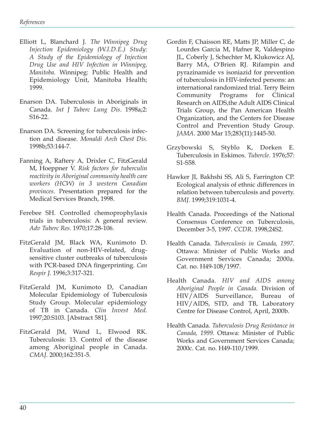- Elliott L, Blanchard J. *The Winnipeg Drug Injection Epidemiology (W.I.D.E.) Study: A Study of the Epidemiology of Injection Drug Use and HIV Infection in Winnipeg, Manitoba*. Winnipeg: Public Health and Epidemiology Unit, Manitoba Health; 1999.
- Enarson DA. Tuberculosis in Aboriginals in Canada. *Int J Tuberc Lung Dis*. 1998a;2: S16-22.
- Enarson DA. Screening for tuberculosis infection and disease. *Monaldi Arch Chest Dis*. 1998b;53:144-7.
- Fanning A, Raftery A, Drixler C, FitzGerald M, Hoeppner V. *Risk factors for tuberculin reactivity in Aboriginal community health care workers (HCW) in 3 western Canadian provinces*. Presentation prepared for the Medical Services Branch, 1998.
- Ferebee SH. Controlled chemoprophylaxis trials in tuberculosis: A general review. *Adv Tuberc Res*. 1970;17:28-106.
- FitzGerald JM, Black WA, Kunimoto D. Evaluation of non-HIV-related, drugsensitive cluster outbreaks of tuberculosis with PCR-based DNA fingerprinting. *Can Respir J*. 1996;3:317-321.
- FitzGerald JM, Kunimoto D, Canadian Molecular Epidemiology of Tuberculosis Study Group. Molecular epidemiology of TB in Canada. *Clin Invest Med.* 1997;20:S103. [Abstract 581].
- FitzGerald JM, Wand L, Elwood RK. Tuberculosis: 13. Control of the disease among Aboriginal people in Canada. *CMAJ*. 2000;162:351-5.
- Gordin F, Chaisson RE, Matts JP, Miller C, de Lourdes Garcia M, Hafner R, Valdespino JL, Coberly J, Schechter M, Klukowicz AJ, Barry MA, O'Brien RJ. Rifampin and pyrazinamide vs isoniazid for prevention of tuberculosis in HIV-infected persons: an international randomized trial. Terry Beirn Community Programs for Clinical Research on AIDS,the Adult AIDS Clinical Trials Group, the Pan American Health Organization, and the Centers for Disease Control and Prevention Study Group. *JAMA*. 2000 Mar 15;283(11):1445-50.
- Grzybowski S, Styblo K, Dorken E. Tuberculosis in Eskimos. *Tubercle*. 1976;57: S1-S58.
- Hawker JI, Bakhshi SS, Ali S, Farrington CP. Ecological analysis of ethnic differences in relation between tuberculosis and poverty. *BMJ*. 1999;319:1031-4.
- Health Canada. Proceedings of the National Consensus Conference on Tuberculosis, December 3-5, 1997. *CCDR*. 1998;24S2.
- Health Canada. *Tuberculosis in Canada, 1997*. Ottawa: Minister of Public Works and Government Services Canada; 2000a. Cat. no. H49-108/1997.
- Health Canada. *HIV and AIDS among Aboriginal People in Canada*. Division of HIV/AIDS Surveillance, Bureau of HIV/AIDS, STD, and TB, Laboratory Centre for Disease Control, April, 2000b.
- Health Canada. *Tuberculosis Drug Resistance in Canada, 1999*. Ottawa: Minister of Public Works and Government Services Canada; 2000c. Cat. no. H49-110/1999.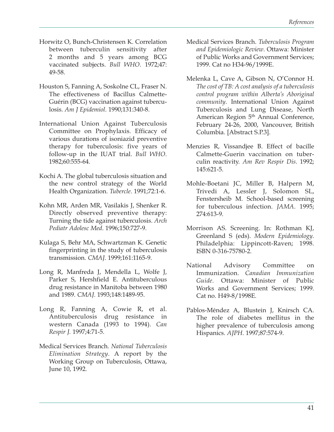- Horwitz O, Bunch-Christensen K. Correlation between tuberculin sensitivity after 2 months and 5 years among BCG vaccinated subjects. *Bull WHO*. 1972;47: 49-58.
- Houston S, Fanning A, Soskolne CL, Fraser N. The effectiveness of Bacillus Calmette-Guérin (BCG) vaccination against tuberculosis. *Am J Epidemiol*. 1990;131:340-8.
- International Union Against Tuberculosis Committee on Prophylaxis. Efficacy of various durations of isoniazid preventive therapy for tuberculosis: five years of follow-up in the IUAT trial. *Bull WHO*. 1982;60:555-64.
- Kochi A. The global tuberculosis situation and the new control strategy of the World Health Organization. *Tubercle*. 1991;72:1-6.
- Kohn MR, Arden MR, Vasilakis J, Shenker R. Directly observed preventive therapy: Turning the tide against tuberculosis. *Arch Pediatr Adolesc Med*. 1996;150:727-9.
- Kulaga S, Behr MA, Schwartzman K. Genetic fingerprinting in the study of tuberculosis transmission. *CMAJ*. 1999;161:1165-9.
- Long R, Manfreda J, Mendella L, Wolfe J, Parker S, Hershfield E. Antituberculous drug resistance in Manitoba between 1980 and 1989. *CMAJ*. 1993;148:1489-95.
- Long R, Fanning A, Cowie R, et al. Antituberculosis drug resistance in western Canada (1993 to 1994). *Can Respir J.* 1997;4:71-5.
- Medical Services Branch. *National Tuberculosis Elimination Strategy*. A report by the Working Group on Tuberculosis, Ottawa, June 10, 1992.
- Medical Services Branch. *Tuberculosis Program and Epidemiologic Review*. Ottawa: Minister of Public Works and Government Services; 1999. Cat no H34-96/1999E.
- Melenka L, Cave A, Gibson N, O'Connor H. *The cost of TB: A cost analysis of a tuberculosis control program within Alberta's Aboriginal community*. International Union Against Tuberculosis and Lung Disease, North American Region 5<sup>th</sup> Annual Conference, February 24-26, 2000, Vancouver, British Columbia. [Abstract S.P.3].
- Menzies R, Vissandjee B. Effect of bacille Calmette-Guerin vaccination on tuberculin reactivity. *Am Rev Respir Dis*. 1992; 145:621-5.
- Mohle-Boetani JC, Miller B, Halpern M, Trivedi A, Lessler J, Solomon SL, Fenstersheib M. School-based screening for tuberculous infection. *JAMA*. 1995; 274:613-9.
- Morrison AS. Screening. In: Rothman KJ, Greenland S (eds). *Modern Epidemiology*. Philadelphia: Lippincott-Raven; 1998. ISBN 0-316-75780-2.
- National Advisory Committee on Immunization. *Canadian Immunization Guide*. Ottawa: Minister of Public Works and Government Services; 1999. Cat no. H49-8/1998E.
- Pablos-Méndez A, Blustein J, Knirsch CA. The role of diabetes mellitus in the higher prevalence of tuberculosis among Hispanics. *AJPH*. 1997;87:574-9.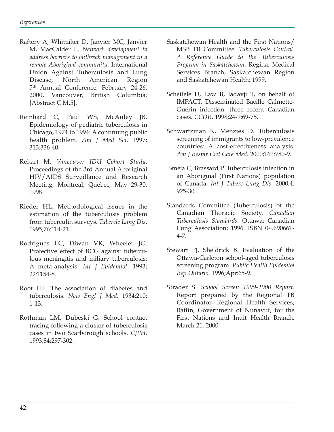- Raftery A, Whittaker D, Janvier MC, Janvier M, MacCalder L. *Network development to address barriers to outbreak management in a remote Aboriginal community*. International Union Against Tuberculosis and Lung Disease, North American Region 5<sup>th</sup> Annual Conference, February 24-26, 2000, Vancouver, British Columbia. [Abstract C.M.5].
- Reinhard C, Paul WS, McAuley JB. Epidemiology of pediatric tuberculosis in Chicago, 1974 to 1994: A continuing public health problem. *Am J Med Sci*. 1997; 313:336-40.
- Rekart M. *Vancouver IDU Cohort Study*. Proceedings of the 3rd Annual Aboriginal HIV/AIDS Surveillance and Research Meeting, Montreal, Quebec, May 29-30, 1998.
- Rieder HL. Methodological issues in the estimation of the tuberculosis problem from tuberculin surveys. *Tubercle Lung Dis*. 1995;76:114-21.
- Rodrigues LC, Diwan VK, Wheeler JG. Protective effect of BCG against tuberculous meningitis and miliary tuberculosis: A meta-analysis. *Int J Epidemiol*. 1993; 22:1154-8.
- Root HF. The association of diabetes and tuberculosis. *New Engl J Med*. 1934;210: 1-13.
- Rothman LM, Dubeski G. School contact tracing following a cluster of tuberculosis cases in two Scarborough schools. *CJPH*. 1993;84:297-302.
- Saskatchewan Health and the First Nations/ MSB TB Committee. *Tuberculosis Control: A Reference Guide to the Tuberculosis Program in Saskatchewan.* Regina: Medical Services Branch, Saskatchewan Region and Saskatchewan Health; 1999.
- Scheifele D, Law B, Jadavji T, on behalf of IMPACT. Disseminated Bacille Calmette-Guérin infection: three recent Canadian cases. *CCDR*. 1998;24-9:69-75.
- Schwartzman K, Menzies D. Tuberculosis screening of immigrants to low-prevalence countries: A cost-effectiveness analysis. *Am J Respir Crit Care Med.* 2000;161:780-9.
- Smeja C, Brassard P. Tuberculosis infection in an Aboriginal (First Nations) population of Canada. *Int J Tuberc Lung Dis.* 2000;4: 925-30.
- Standards Committee (Tuberculosis) of the Canadian Thoracic Society. *Canadian Tuberculosis Standards*. Ottawa: Canadian Lung Association; 1996. ISBN 0-9690661- 4-7.
- Stewart PJ, Sheldrick B. Evaluation of the Ottawa-Carleton school-aged tuberculosis screening program. *Public Health Epidemiol Rep Ontario*. 1996;Apr:65-9.
- Strader S. *School Screen 1999-2000 Report*. Report prepared by the Regional TB Coordinator, Regional Health Services, Baffin, Government of Nunavut, for the First Nations and Inuit Health Branch, March 21, 2000.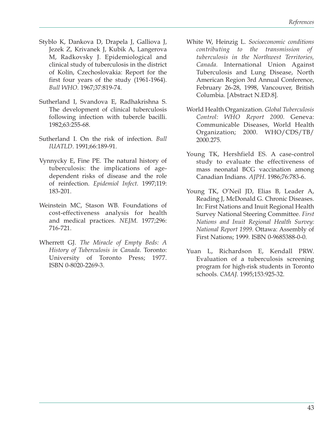- Styblo K, Dankova D, Drapela J, Galliova J, Jezek Z, Krivanek J, Kubik A, Langerova M, Radkovsky J. Epidemiological and clinical study of tuberculosis in the district of Kolín, Czechoslovakia: Report for the first four years of the study (1961-1964). *Bull WHO*. 1967;37:819-74.
- Sutherland I, Svandova E, Radhakrishna S. The development of clinical tuberculosis following infection with tubercle bacilli. 1982;63:255-68.
- Sutherland I. On the risk of infection. *Bull IUATLD*. 1991;66:189-91.
- Vynnycky E, Fine PE. The natural history of tuberculosis: the implications of agedependent risks of disease and the role of reinfection. *Epidemiol Infect*. 1997;119: 183-201.
- Weinstein MC, Stason WB. Foundations of cost-effectiveness analysis for health and medical practices. *NEJM*. 1977;296: 716-721.
- Wherrett GJ. *The Miracle of Empty Beds: A History of Tuberculosis in Canada*. Toronto: University of Toronto Press; 1977. ISBN 0-8020-2269-3.
- White W, Heinzig L. *Socioeconomic conditions contributing to the transmission of tuberculosis in the Northwest Territories, Canada.* International Union Against Tuberculosis and Lung Disease, North American Region 3rd Annual Conference, February 26-28, 1998, Vancouver, British Columbia. [Abstract N.ED.8].
- World Health Organization. *Global Tuberculosis Control: WHO Report 2000*. Geneva: Communicable Diseases, World Health Organization; 2000. WHO/CDS/TB/ 2000.275.
- Young TK, Hershfield ES. A case-control study to evaluate the effectiveness of mass neonatal BCG vaccination among Canadian Indians. *AJPH*. 1986;76:783-6.
- Young TK, O'Neil JD, Elias B, Leader A, Reading J, McDonald G. Chronic Diseases. In: First Nations and Inuit Regional Health Survey National Steering Committee. *First Nations and Inuit Regional Health Survey: National Report 1999*. Ottawa: Assembly of First Nations; 1999. ISBN 0-9685388-0-0.
- Yuan L, Richardson E, Kendall PRW. Evaluation of a tuberculosis screening program for high-risk students in Toronto schools. *CMAJ*. 1995;153:925-32.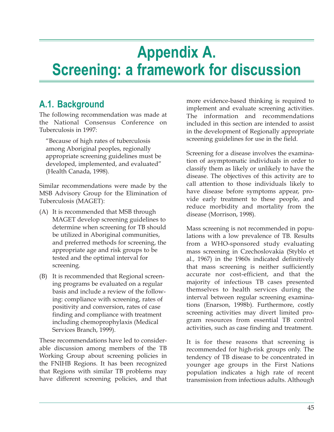# **Appendix A. Screening: a framework for discussion**

# **A.1. Background**

The following recommendation was made at the National Consensus Conference on Tuberculosis in 1997:

"Because of high rates of tuberculosis among Aboriginal peoples, regionally appropriate screening guidelines must be developed, implemented, and evaluated" (Health Canada, 1998).

Similar recommendations were made by the MSB Advisory Group for the Elimination of Tuberculosis (MAGET):

- (A) It is recommended that MSB through MAGET develop screening guidelines to determine when screening for TB should be utilized in Aboriginal communities, and preferred methods for screening, the appropriate age and risk groups to be tested and the optimal interval for screening.
- (B) It is recommended that Regional screening programs be evaluated on a regular basis and include a review of the following: compliance with screening, rates of positivity and conversion, rates of case finding and compliance with treatment including chemoprophylaxis (Medical Services Branch, 1999).

These recommendations have led to considerable discussion among members of the TB Working Group about screening policies in the FNIHB Regions. It has been recognized that Regions with similar TB problems may have different screening policies, and that

more evidence-based thinking is required to implement and evaluate screening activities. The information and recommendations included in this section are intended to assist in the development of Regionally appropriate screening guidelines for use in the field.

Screening for a disease involves the examination of asymptomatic individuals in order to classify them as likely or unlikely to have the disease. The objectives of this activity are to call attention to those individuals likely to have disease before symptoms appear, provide early treatment to these people, and reduce morbidity and mortality from the disease (Morrison, 1998).

Mass screening is not recommended in populations with a low prevalence of TB. Results from a WHO-sponsored study evaluating mass screening in Czechoslovakia (Styblo et al., 1967) in the 1960s indicated definitively that mass screening is neither sufficiently accurate nor cost-efficient, and that the majority of infectious TB cases presented themselves to health services during the interval between regular screening examinations (Enarson, 1998b). Furthermore, costly screening activities may divert limited program resources from essential TB control activities, such as case finding and treatment.

It is for these reasons that screening is recommended for high-risk groups only. The tendency of TB disease to be concentrated in younger age groups in the First Nations population indicates a high rate of recent transmission from infectious adults. Although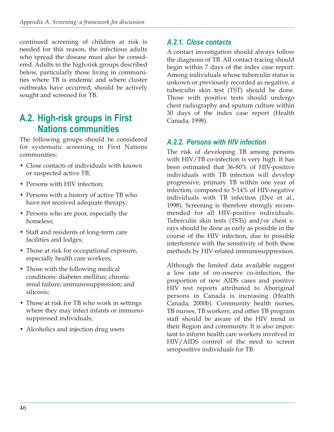continued screening of children at risk is needed for this reason, the infectious adults who spread the disease must also be considered. Adults in the high-risk groups described below, particularly those living in communities where TB is endemic and where cluster outbreaks have occurred, should be actively sought and screened for TB.

# **A.2. High-risk groups in First Nations communities**

The following groups should be considered for systematic screening in First Nations communities:

- Close contacts of individuals with known or suspected active TB;
- Persons with HIV infection:
- Persons with a history of active TB who have not received adequate therapy;
- Persons who are poor, especially the homeless;
- Staff and residents of long-term care facilities and lodges;
- Those at risk for occupational exposure, especially health care workers;
- Those with the following medical conditions: diabetes mellitus; chronic renal failure; immunosuppression; and silicosis;
- Those at risk for TB who work in settings where they may infect infants or immunosuppressed individuals;
- Alcoholics and injection drug users

### *A.2.1. Close contacts*

A contact investigation should always follow the diagnosis of TB. All contact tracing should begin within 7 days of the index case report. Among individuals whose tuberculin status is unkown or previously recorded as negative, a tuberculin skin test (TST) should be done. Those with positive tests should undergo chest radiography and sputum culture within 30 days of the index case report (Health Canada, 1998).

#### *A.2.2. Persons with HIV infection*

The risk of developing TB among persons with HIV/TB co-infection is very high. It has been estimated that 36-80% of HIV-positive individuals with TB infection will develop progressive, primary TB within one year of infection, compared to 5-14% of HIV-negative individuals with TB infection (Dye et al., 1998). Screening is therefore strongly recommended for all HIV-positive individuals. Tuberculin skin tests (TSTs) and/or chest xrays should be done as early as possible in the course of the HIV infection, due to possible interference with the sensitivity of both these methods by HIV-related immunosuppression.

Although the limited data available suggest a low rate of on-reserve co-infection, the proportion of new AIDS cases and positive HIV test reports attributed to Aboriginal persons in Canada is increasing (Health Canada, 2000b). Community health nurses, TB nurses, TB workers, and other TB program staff should be aware of the HIV trend in their Region and community. It is also important to inform health care workers involved in HIV/AIDS control of the need to screen seropositive individuals for TB.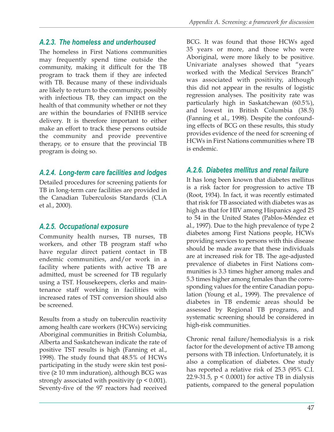#### *A.2.3. The homeless and underhoused*

The homeless in First Nations communities may frequently spend time outside the community, making it difficult for the TB program to track them if they are infected with TB. Because many of these individuals are likely to return to the community, possibly with infectious TB, they can impact on the health of that community whether or not they are within the boundaries of FNIHB service delivery. It is therefore important to either make an effort to track these persons outside the community and provide preventive therapy, or to ensure that the provincial TB program is doing so.

## *A.2.4. Long-term care facilities and lodges*

Detailed procedures for screening patients for TB in long-term care facilities are provided in the Canadian Tuberculosis Standards (CLA et al., 2000).

#### *A.2.5. Occupational exposure*

Community health nurses, TB nurses, TB workers, and other TB program staff who have regular direct patient contact in TB endemic communities, and/or work in a facility where patients with active TB are admitted, must be screened for TB regularly using a TST. Housekeepers, clerks and maintenance staff working in facilities with increased rates of TST conversion should also be screened.

Results from a study on tuberculin reactivity among health care workers (HCWs) servicing Aboriginal communities in British Columbia, Alberta and Saskatchewan indicate the rate of positive TST results is high (Fanning et al., 1998). The study found that 48.5% of HCWs participating in the study were skin test positive  $(≥ 10$  mm induration), although BCG was strongly associated with positivity ( $p < 0.001$ ). Seventy-five of the 97 reactors had received

BCG. It was found that those HCWs aged 35 years or more, and those who were Aboriginal, were more likely to be positive. Univariate analyses showed that "years worked with the Medical Services Branch" was associated with positivity, although this did not appear in the results of logistic regression analyses. The positivity rate was particularly high in Saskatchewan (60.5%), and lowest in British Columbia (38.5) (Fanning et al., 1998). Despite the confounding effects of BCG on these results, this study provides evidence of the need for screening of HCWs in First Nations communities where TB is endemic.

### *A.2.6. Diabetes mellitus and renal failure*

It has long been known that diabetes mellitus is a risk factor for progression to active TB (Root, 1934). In fact, it was recently estimated that risk for TB associated with diabetes was as high as that for HIV among Hispanics aged 25 to 54 in the United States (Pablos-Méndez et al., 1997). Due to the high prevalence of type 2 diabetes among First Nations people, HCWs providing services to persons with this disease should be made aware that these individuals are at increased risk for TB. The age-adjusted prevalence of diabetes in First Nations communities is 3.3 times higher among males and 5.3 times higher among females than the corresponding values for the entire Canadian population (Young et al., 1999). The prevalence of diabetes in TB endemic areas should be assessed by Regional TB programs, and systematic screening should be considered in high-risk communities.

Chronic renal failure/hemodialysis is a risk factor for the development of active TB among persons with TB infection. Unfortunately, it is also a complication of diabetes. One study has reported a relative risk of 25.3 (95% C.I. 22.9-31.5, p < 0.0001) for active TB in dialysis patients, compared to the general population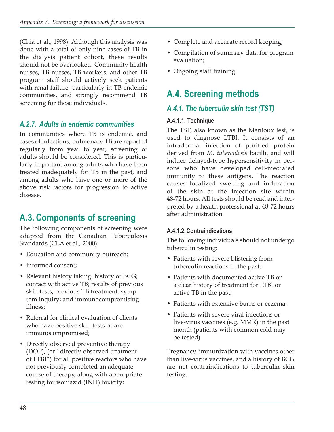(Chia et al., 1998). Although this analysis was done with a total of only nine cases of TB in the dialysis patient cohort, these results should not be overlooked. Community health nurses, TB nurses, TB workers, and other TB program staff should actively seek patients with renal failure, particularly in TB endemic communities, and strongly recommend TB screening for these individuals.

## *A.2.7. Adults in endemic communities*

In communities where TB is endemic, and cases of infectious, pulmonary TB are reported regularly from year to year, screening of adults should be considered. This is particularly important among adults who have been treated inadequately for TB in the past, and among adults who have one or more of the above risk factors for progression to active disease.

# **A.3. Components of screening**

The following components of screening were adapted from the Canadian Tuberculosis Standards (CLA et al., 2000):

- Education and community outreach;
- Informed consent:
- Relevant history taking: history of BCG; contact with active TB; results of previous skin tests; previous TB treatment; symptom inquiry; and immunocompromising illness;
- Referral for clinical evaluation of clients who have positive skin tests or are immunocompromised;
- Directly observed preventive therapy (DOP), (or "directly observed treatment of LTBI") for all positive reactors who have not previously completed an adequate course of therapy, along with appropriate testing for isoniazid (INH) toxicity;
- Complete and accurate record keeping;
- Compilation of summary data for program evaluation;
- Ongoing staff training

# **A.4. Screening methods**

## *A.4.1. The tuberculin skin test (TST)*

#### **A.4.1.1. Technique**

The TST, also known as the Mantoux test, is used to diagnose LTBI. It consists of an intradermal injection of purified protein derived from *M. tuberculosis* bacilli, and will induce delayed-type hypersensitivity in persons who have developed cell-mediated immunity to these antigens. The reaction causes localized swelling and induration of the skin at the injection site within 48-72 hours. All tests should be read and interpreted by a health professional at 48-72 hours after administration.

#### **A.4.1.2. Contraindications**

The following individuals should not undergo tuberculin testing:

- Patients with severe blistering from tuberculin reactions in the past;
- Patients with documented active TB or a clear history of treatment for LTBI or active TB in the past;
- Patients with extensive burns or eczema;
- Patients with severe viral infections or live-virus vaccines (e.g. MMR) in the past month (patients with common cold may be tested)

Pregnancy, immunization with vaccines other than live-virus vaccines, and a history of BCG are not contraindications to tuberculin skin testing.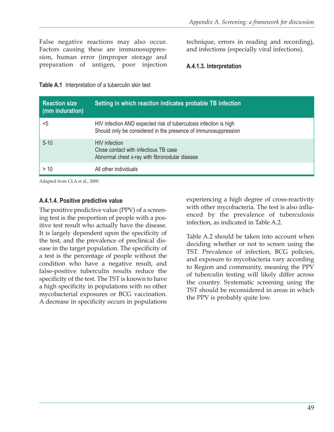False negative reactions may also occur. Factors causing these are immunosuppression, human error (improper storage and preparation of antigen, poor injection technique, errors in reading and recording), and infections (especially viral infections).

#### **A.4.1.3. Interpretation**

**Table A.1** Interpretation of a tuberculin skin test

| <b>Reaction size</b><br>(mm induration) | Setting in which reaction indicates probable TB infection                                                                           |
|-----------------------------------------|-------------------------------------------------------------------------------------------------------------------------------------|
| $5$                                     | HIV infection AND expected risk of tuberculosis infection is high<br>Should only be considered in the presence of immunosuppression |
| $5 - 10$                                | <b>HIV</b> infection<br>Close contact with infectious TB case<br>Abnormal chest x-ray with fibronodular disease                     |
| > 10                                    | All other individuals                                                                                                               |

Adapted from CLA et al., 2000.

#### **A.4.1.4. Positive predictive value**

The positive predictive value (PPV) of a screening test is the proportion of people with a positive test result who actually have the disease. It is largely dependent upon the specificity of the test, and the prevalence of preclinical disease in the target population. The specificity of a test is the percentage of people without the condition who have a negative result, and false-positive tuberculin results reduce the specificity of the test. The TST is known to have a high specificity in populations with no other mycobacterial exposures or BCG vaccination. A decrease in specificity occurs in populations

experiencing a high degree of cross-reactivity with other mycobacteria. The test is also influenced by the prevalence of tuberculosis infection, as indicated in Table A.2.

Table A.2 should be taken into account when deciding whether or not to screen using the TST. Prevalence of infection, BCG policies, and exposure to mycobacteria vary according to Region and community, meaning the PPV of tuberculin testing will likely differ across the country. Systematic screening using the TST should be reconsidered in areas in which the PPV is probably quite low.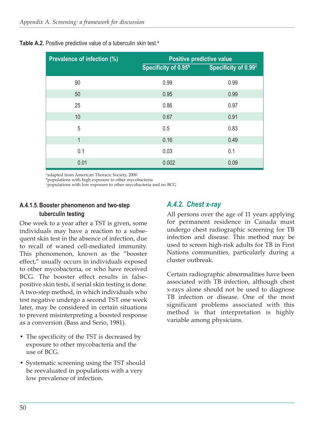| <b>Prevalence of infection (%)</b> | <b>Positive predictive value</b> |                      |  |  |  |
|------------------------------------|----------------------------------|----------------------|--|--|--|
|                                    | Specificity of 0.95 <sup>b</sup> | Specificity of 0.99c |  |  |  |
| 90                                 | 0.99                             | 0.99                 |  |  |  |
| 50                                 | 0.95                             | 0.99                 |  |  |  |
| 25                                 | 0.86                             | 0.97                 |  |  |  |
| 10                                 | 0.67                             | 0.91                 |  |  |  |
| 5                                  | 0.5                              | 0.83                 |  |  |  |
| 1                                  | 0.16                             | 0.49                 |  |  |  |
| 0.1                                | 0.03                             | 0.1                  |  |  |  |
| 0.01                               | 0.002                            | 0.09                 |  |  |  |

**Table A.2.** Positive predictive value of a tuberculin skin test.<sup>a</sup>

aadapted from American Thoracic Society, 2000

bpopulations with high exposure to other mycobacteria

cpopulations with low exposure to other mycobacteria and no BCG

#### **A.4.1.5. Booster phenomenon and two-step tuberculin testing**

One week to a year after a TST is given, some individuals may have a reaction to a subsequent skin test in the absence of infection, due to recall of waned cell-mediated immunity. This phenomenon, known as the "booster effect," usually occurs in individuals exposed to other mycobacteria, or who have received BCG. The booster effect results in falsepositive skin tests, if serial skin testing is done. A two-step method, in which individuals who test negative undergo a second TST one week later, may be considered in certain situations to prevent misinterpreting a boosted response as a conversion (Bass and Serio, 1981).

- The specificity of the TST is decreased by exposure to other mycobacteria and the use of BCG.
- Systematic screening using the TST should be reevaluated in populations with a very low prevalence of infection.

## *A.4.2. Chest x-ray*

All persons over the age of 11 years applying for permanent residence in Canada must undergo chest radiographic screening for TB infection and disease. This method may be used to screen high-risk adults for TB in First Nations communities, particularly during a cluster outbreak.

Certain radiographic abnormalities have been associated with TB infection, although chest x-rays alone should not be used to diagnose TB infection or disease. One of the most significant problems associated with this method is that interpretation is highly variable among physicians.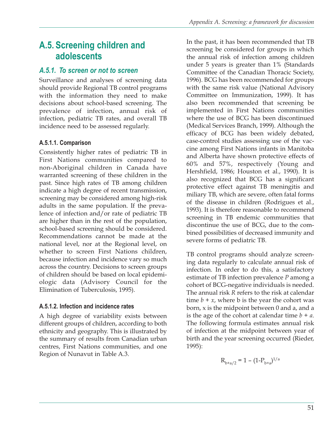# **A.5. Screening children and adolescents**

## *A.5.1. To screen or not to screen*

Surveillance and analyses of screening data should provide Regional TB control programs with the information they need to make decisions about school-based screening. The prevalence of infection, annual risk of infection, pediatric TB rates, and overall TB incidence need to be assessed regularly.

## **A.5.1.1. Comparison**

Consistently higher rates of pediatric TB in First Nations communities compared to non-Aboriginal children in Canada have warranted screening of these children in the past. Since high rates of TB among children indicate a high degree of recent transmission, screening may be considered among high-risk adults in the same population. If the prevalence of infection and/or rate of pediatric TB are higher than in the rest of the population, school-based screening should be considered. Recommendations cannot be made at the national level, nor at the Regional level, on whether to screen First Nations children, because infection and incidence vary so much across the country. Decisions to screen groups of children should be based on local epidemiologic data (Advisory Council for the Elimination of Tuberculosis, 1995).

## **A.5.1.2. Infection and incidence rates**

A high degree of variability exists between different groups of children, according to both ethnicity and geography. This is illustrated by the summary of results from Canadian urban centres, First Nations communities, and one Region of Nunavut in Table A.3.

In the past, it has been recommended that TB screening be considered for groups in which the annual risk of infection among children under 5 years is greater than 1% (Standards Committee of the Canadian Thoracic Society, 1996). BCG has been recommended for groups with the same risk value (National Advisory Committee on Immunization, 1999). It has also been recommended that screening be implemented in First Nations communities where the use of BCG has been discontinued (Medical Services Branch, 1999). Although the efficacy of BCG has been widely debated, case-control studies assessing use of the vaccine among First Nations infants in Manitoba and Alberta have shown protective effects of 60% and 57%, respectively (Young and Hershfield, 1986; Houston et al., 1990). It is also recognized that BCG has a significant protective effect against TB meningitis and miliary TB, which are severe, often fatal forms of the disease in children (Rodrigues et al., 1993). It is therefore reasonable to recommend screening in TB endemic communities that discontinue the use of BCG, due to the combined possibilities of decreased immunity and severe forms of pediatric TB.

TB control programs should analyze screening data regularly to calculate annual risk of infection. In order to do this, a satisfactory estimate of TB infection prevalence *P* among a cohort of BCG-negative individuals is needed. The annual risk *R* refers to the risk at calendar time  $b + x$ , where **b** is the year the cohort was born, x is the midpoint between 0 and a, and a is the age of the cohort at calendar time  $b + a$ . The following formula estimates annual risk of infection at the midpoint between year of birth and the year screening occurred (Rieder, 1995):

$$
R_{b+a/2} = 1 - (1 - P_{b+a})^{1/a}
$$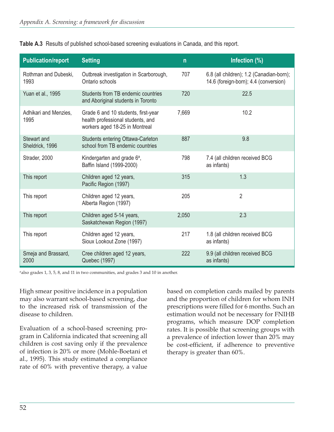| <b>Publication/report</b>      | <b>Setting</b>                                                                                             | $\mathsf{n}$ | Infection (%)                                                                     |
|--------------------------------|------------------------------------------------------------------------------------------------------------|--------------|-----------------------------------------------------------------------------------|
| Rothman and Dubeski,<br>1993   | Outbreak investigation in Scarborough,<br>Ontario schools                                                  | 707          | 6.8 (all children); 1.2 (Canadian-born);<br>14.6 (foreign-born); 4.4 (conversion) |
| Yuan et al., 1995              | Students from TB endemic countries<br>and Aboriginal students in Toronto                                   | 720          | 22.5                                                                              |
| Adhikari and Menzies,<br>1995  | Grade 6 and 10 students, first-year<br>health professional students, and<br>workers aged 18-25 in Montreal | 7,669        | 10.2                                                                              |
| Stewart and<br>Sheldrick, 1996 | Students entering Ottawa-Carleton<br>school from TB endemic countries                                      | 887          | 9.8                                                                               |
| Strader, 2000                  | Kindergarten and grade 6 <sup>a</sup> ,<br>Baffin Island (1999-2000)                                       | 798          | 7.4 (all children received BCG<br>as infants)                                     |
| This report                    | Children aged 12 years,<br>Pacific Region (1997)                                                           | 315          | 1.3                                                                               |
| This report                    | Children aged 12 years,<br>Alberta Region (1997)                                                           | 205          | 2                                                                                 |
| This report                    | Children aged 5-14 years,<br>Saskatchewan Region (1997)                                                    | 2,050        | 2.3                                                                               |
| This report                    | Children aged 12 years,<br>Sioux Lookout Zone (1997)                                                       | 217          | 1.8 (all children received BCG<br>as infants)                                     |
| Smeja and Brassard,<br>2000    | Cree children aged 12 years,<br>Quebec (1997)                                                              | 222          | 9.9 (all children received BCG<br>as infants)                                     |

**Table A.3** Results of published school-based screening evaluations in Canada, and this report.

aalso grades 1, 3, 5, 8, and 11 in two communities, and grades 3 and 10 in another.

High smear positive incidence in a population may also warrant school-based screening, due to the increased risk of transmission of the disease to children.

Evaluation of a school-based screening program in California indicated that screening all children is cost saving only if the prevalence of infection is 20% or more (Mohle-Boetani et al., 1995). This study estimated a compliance rate of 60% with preventive therapy, a value

based on completion cards mailed by parents and the proportion of children for whom INH prescriptions were filled for 6 months. Such an estimation would not be necessary for FNIHB programs, which measure DOP completion rates. It is possible that screening groups with a prevalence of infection lower than 20% may be cost-efficient, if adherence to preventive therapy is greater than 60%.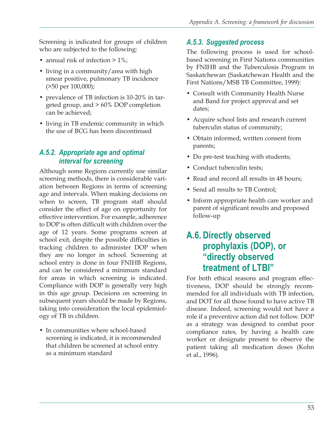Screening is indicated for groups of children who are subjected to the following:

- annual risk of infection  $> 1\%$ ;
- living in a community/area with high smear positive, pulmonary TB incidence (>50 per 100,000);
- prevalence of TB infection is 10-20% in targeted group, and > 60% DOP completion can be achieved;
- living in TB endemic community in which the use of BCG has been discontinued

#### *A.5.2. Appropriate age and optimal interval for screening*

Although some Regions currently use similar screening methods, there is considerable variation between Regions in terms of screening age and intervals. When making decisions on when to screen, TB program staff should consider the effect of age on opportunity for effective intervention. For example, adherence to DOP is often difficult with children over the age of 12 years. Some programs screen at school exit, despite the possible difficulties in tracking children to administer DOP when they are no longer in school. Screening at school entry is done in four FNIHB Regions, and can be considered a minimum standard for areas in which screening is indicated. Compliance with DOP is generally very high in this age group. Decisions on screening in subsequent years should be made by Regions, taking into consideration the local epidemiology of TB in children.

• In communities where school-based screening is indicated, it is recommended that children be screened at school entry as a minimum standard

## *A.5.3. Suggested process*

The following process is used for schoolbased screening in First Nations communities by FNIHB and the Tuberculosis Program in Saskatchewan (Saskatchewan Health and the First Nations/MSB TB Committee, 1999):

- Consult with Community Health Nurse and Band for project approval and set dates;
- Acquire school lists and research current tuberculin status of community;
- Obtain informed, written consent from parents;
- Do pre-test teaching with students;
- Conduct tuberculin tests;
- Read and record all results in 48 hours;
- Send all results to TB Control;
- Inform appropriate health care worker and parent of significant results and proposed follow-up

# **A.6. Directly observed prophylaxis (DOP), or "directly observed treatment of LTBI"**

For both ethical reasons and program effectiveness, DOP should be strongly recommended for all individuals with TB infection, and DOT for all those found to have active TB disease. Indeed, screening would not have a role if a preventive action did not follow. DOP as a strategy was designed to combat poor compliance rates, by having a health care worker or designate present to observe the patient taking all medication doses (Kohn et al., 1996).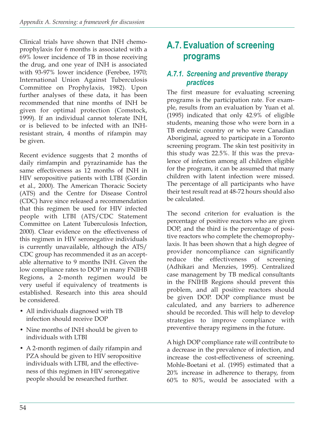Clinical trials have shown that INH chemoprophylaxis for 6 months is associated with a 69% lower incidence of TB in those receiving the drug, and one year of INH is associated with 93-97% lower incidence (Ferebee, 1970; International Union Against Tuberculosis Committee on Prophylaxis, 1982). Upon further analyses of these data, it has been recommended that nine months of INH be given for optimal protection (Comstock, 1999). If an individual cannot tolerate INH, or is believed to be infected with an INHresistant strain, 4 months of rifampin may be given.

Recent evidence suggests that 2 months of daily rimfampin and pyrazinamide has the same effectiveness as 12 months of INH in HIV seropositive patients with LTBI (Gordin et al., 2000). The American Thoracic Society (ATS) and the Centre for Disease Control (CDC) have since released a recommendation that this regimen be used for HIV infected people with LTBI (ATS/CDC Statement Committee on Latent Tuberculosis Infection, 2000). Clear evidence on the effectiveness of this regimen in HIV seronegative individuals is currently unavailable, although the ATS/ CDC group has recommended it as an acceptable alternative to 9 months INH. Given the low compliance rates to DOP in many FNIHB Regions, a 2-month regimen would be very useful if equivalency of treatments is established. Research into this area should be considered.

- All individuals diagnosed with TB infection should receive DOP
- Nine months of INH should be given to individuals with LTBI
- A 2-month regimen of daily rifampin and PZA should be given to HIV seropositive individuals with LTBI, and the effectiveness of this regimen in HIV seronegative people should be researched further.

# **A.7. Evaluation of screening programs**

## *A.7.1. Screening and preventive therapy practices*

The first measure for evaluating screening programs is the participation rate. For example, results from an evaluation by Yuan et al. (1995) indicated that only 42.9% of eligible students, meaning those who were born in a TB endemic country or who were Canadian Aboriginal, agreed to participate in a Toronto screening program. The skin test positivity in this study was 22.5%. If this was the prevalence of infection among all children eligible for the program, it can be assumed that many children with latent infection were missed. The percentage of all participants who have their test result read at 48-72 hours should also be calculated.

The second criterion for evaluation is the percentage of positive reactors who are given DOP, and the third is the percentage of positive reactors who complete the chemoprophylaxis. It has been shown that a high degree of provider noncompliance can significantly reduce the effectiveness of screening (Adhikari and Menzies, 1995). Centralized case management by TB medical consultants in the FNIHB Regions should prevent this problem, and all positive reactors should be given DOP. DOP compliance must be calculated, and any barriers to adherence should be recorded. This will help to develop strategies to improve compliance with preventive therapy regimens in the future.

A high DOP compliance rate will contribute to a decrease in the prevalence of infection, and increase the cost-effectiveness of screening. Mohle-Boetani et al. (1995) estimated that a 20% increase in adherence to therapy, from 60% to 80%, would be associated with a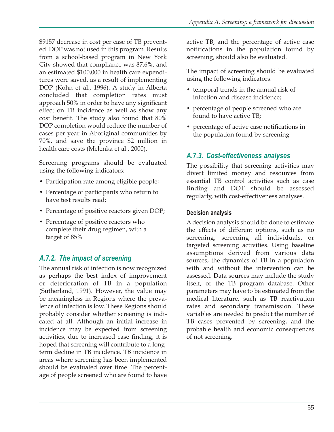\$9157 decrease in cost per case of TB prevented. DOP was not used in this program. Results from a school-based program in New York City showed that compliance was 87.6%, and an estimated \$100,000 in health care expenditures were saved, as a result of implementing DOP (Kohn et al., 1996). A study in Alberta concluded that completion rates must approach 50% in order to have any significant effect on TB incidence as well as show any cost benefit. The study also found that 80% DOP completion would reduce the number of cases per year in Aboriginal communities by 70%, and save the province \$2 million in health care costs (Melenka et al., 2000).

Screening programs should be evaluated using the following indicators:

- Participation rate among eligible people;
- Percentage of participants who return to have test results read;
- Percentage of positive reactors given DOP;
- Percentage of positive reactors who complete their drug regimen, with a target of 85%

## *A.7.2. The impact of screening*

The annual risk of infection is now recognized as perhaps the best index of improvement or deterioration of TB in a population (Sutherland, 1991). However, the value may be meaningless in Regions where the prevalence of infection is low. These Regions should probably consider whether screening is indicated at all. Although an initial increase in incidence may be expected from screening activities, due to increased case finding, it is hoped that screening will contribute to a longterm decline in TB incidence. TB incidence in areas where screening has been implemented should be evaluated over time. The percentage of people screened who are found to have

active TB, and the percentage of active case notifications in the population found by screening, should also be evaluated.

The impact of screening should be evaluated using the following indicators:

- temporal trends in the annual risk of infection and disease incidence;
- percentage of people screened who are found to have active TB;
- percentage of active case notifications in the population found by screening

## *A.7.3. Cost-effectiveness analyses*

The possibility that screening activities may divert limited money and resources from essential TB control activities such as case finding and DOT should be assessed regularly, with cost-effectiveness analyses.

#### **Decision analysis**

A decision analysis should be done to estimate the effects of different options, such as no screening, screening all individuals, or targeted screening activities. Using baseline assumptions derived from various data sources, the dynamics of TB in a population with and without the intervention can be assessed. Data sources may include the study itself, or the TB program database. Other parameters may have to be estimated from the medical literature, such as TB reactivation rates and secondary transmission. These variables are needed to predict the number of TB cases prevented by screening, and the probable health and economic consequences of not screening.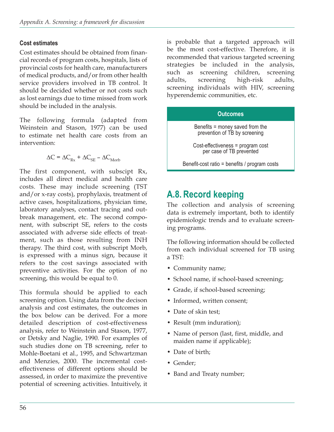#### **Cost estimates**

Cost estimates should be obtained from financial records of program costs, hospitals, lists of provincial costs for health care, manufacturers of medical products, and/or from other health service providers involved in TB control. It should be decided whether or not costs such as lost earnings due to time missed from work should be included in the analysis.

The following formula (adapted from Weinstein and Stason, 1977) can be used to estimate net health care costs from an intervention:

$$
\Delta C = \Delta C_{\text{Rx}} + \Delta C_{\text{SE}} - \Delta C_{\text{Morb}}
$$

The first component, with subscipt Rx, includes all direct medical and health care costs. These may include screening (TST and/or x-ray costs), prophylaxis, treatment of active cases, hospitalizations, physician time, laboratory analyses, contact tracing and outbreak management, etc. The second component, with subscript SE, refers to the costs associated with adverse side effects of treatment, such as those resulting from INH therapy. The third cost, with subscript Morb, is expressed with a minus sign, because it refers to the cost savings associated with preventive activities. For the option of no screening, this would be equal to 0.

This formula should be applied to each screening option. Using data from the decison analysis and cost estimates, the outcomes in the box below can be derived. For a more detailed description of cost-effectiveness analysis, refer to Weinstein and Stason, 1977, or Detsky and Naglie, 1990. For examples of such studies done on TB screening, refer to Mohle-Boetani et al., 1995, and Schwartzman and Menzies, 2000. The incremental costeffectiveness of different options should be assessed, in order to maximize the preventive potential of screening activities. Intuitively, it

is probable that a targeted approach will be the most cost-effective. Therefore, it is recommended that various targeted screening strategies be included in the analysis, such as screening children, screening adults, screening high-risk adults, screening individuals with HIV, screening hyperendemic communities, etc.

#### **Outcomes**

Benefits = money saved from the prevention of TB by screening

Cost-effectiveness = program cost per case of TB prevented

Benefit-cost ratio = benefits / program costs

# **A.8. Record keeping**

The collection and analysis of screening data is extremely important, both to identify epidemiologic trends and to evaluate screening programs.

The following information should be collected from each individual screened for TB using a TST:

- Community name;
- School name, if school-based screening;
- Grade, if school-based screening;
- Informed, written consent:
- Date of skin test;
- Result (mm induration);
- Name of person (last, first, middle, and maiden name if applicable);
- Date of birth:
- Gender;
- Band and Treaty number;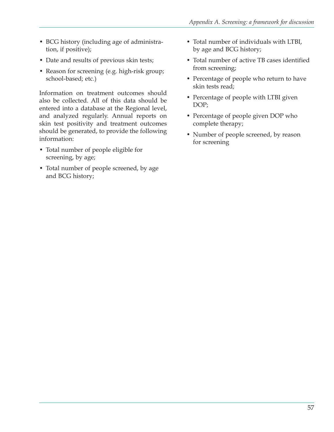- BCG history (including age of administration, if positive);
- Date and results of previous skin tests;
- Reason for screening (e.g. high-risk group; school-based; etc.)

Information on treatment outcomes should also be collected. All of this data should be entered into a database at the Regional level, and analyzed regularly. Annual reports on skin test positivity and treatment outcomes should be generated, to provide the following information:

- Total number of people eligible for screening, by age;
- Total number of people screened, by age and BCG history;
- Total number of individuals with LTBI, by age and BCG history;
- Total number of active TB cases identified from screening;
- Percentage of people who return to have skin tests read;
- Percentage of people with LTBI given DOP;
- Percentage of people given DOP who complete therapy;
- Number of people screened, by reason for screening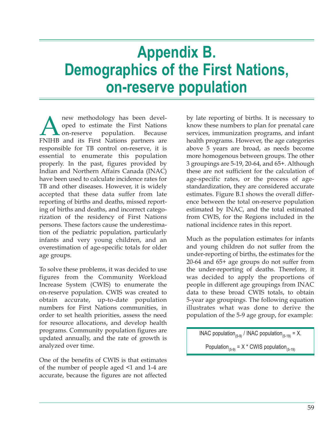# **Appendix B. Demographics of the First Nations, on-reserve population**

new methodology has been devel-<br>
oped to estimate the First Nations<br>
FNIHB and its First Nations partners are oped to estimate the First Nations on-reserve population. Because responsible for TB control on-reserve, it is essential to enumerate this population properly. In the past, figures provided by Indian and Northern Affairs Canada (INAC) have been used to calculate incidence rates for TB and other diseases. However, it is widely accepted that these data suffer from late reporting of births and deaths, missed reporting of births and deaths, and incorrect categorization of the residency of First Nations persons. These factors cause the underestimation of the pediatric population, particularly infants and very young children, and an overestimation of age-specific totals for older age groups.

To solve these problems, it was decided to use figures from the Community Workload Increase System (CWIS) to enumerate the on-reserve population. CWIS was created to obtain accurate, up-to-date population numbers for First Nations communities, in order to set health priorities, assess the need for resource allocations, and develop health programs. Community population figures are updated annually, and the rate of growth is analyzed over time.

One of the benefits of CWIS is that estimates of the number of people aged <1 and 1-4 are accurate, because the figures are not affected

by late reporting of births. It is necessary to know these numbers to plan for prenatal care services, immunization programs, and infant health programs. However, the age categories above 5 years are broad, as needs become more homogenous between groups. The other 3 groupings are 5-19, 20-64, and 65+. Although these are not sufficient for the calculation of age-specific rates, or the process of agestandardization, they are considered accurate estimates. Figure B.1 shows the overall difference between the total on-reserve population estimated by INAC, and the total estimated from CWIS, for the Regions included in the national incidence rates in this report.

Much as the population estimates for infants and young children do not suffer from the under-reporting of births, the estimates for the 20-64 and 65+ age groups do not suffer from the under-reporting of deaths. Therefore, it was decided to apply the proportions of people in different age groupings from INAC data to these broad CWIS totals, to obtain 5-year age groupings. The following equation illustrates what was done to derive the population of the 5-9 age group, for example:

INAC population<sub>(5-9)</sub> / INAC population<sub>(5-19)</sub> = X.

Population<sub>(5-9)</sub> = X  $*$  CWIS population<sub>(5-19)</sub>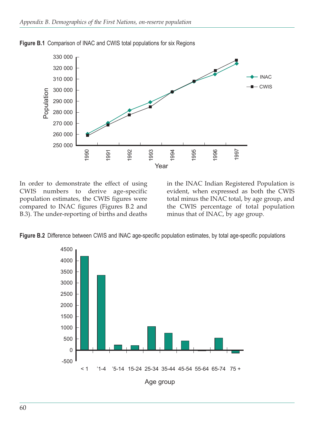

**Figure B.1** Comparison of INAC and CWIS total populations for six Regions

In order to demonstrate the effect of using CWIS numbers to derive age-specific population estimates, the CWIS figures were compared to INAC figures (Figures B.2 and B.3). The under-reporting of births and deaths

in the INAC Indian Registered Population is evident, when expressed as both the CWIS total minus the INAC total, by age group, and the CWIS percentage of total population minus that of INAC, by age group.



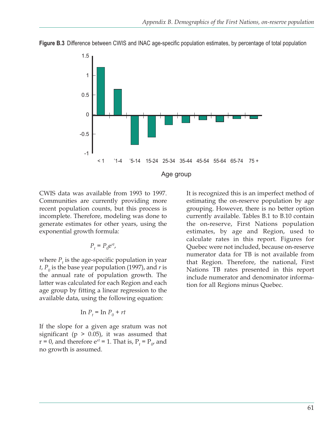

**Figure B.3** Difference between CWIS and INAC age-specific population estimates, by percentage of total population

CWIS data was available from 1993 to 1997. Communities are currently providing more recent population counts, but this process is incomplete. Therefore, modeling was done to generate estimates for other years, using the exponential growth formula:

$$
P_t = P_0 e^{rt},
$$

where  $P_t$  is the age-specific population in year *t*,  $P_0$  is the base year population (1997), and *r* is the annual rate of population growth. The latter was calculated for each Region and each age group by fitting a linear regression to the available data, using the following equation:

$$
\ln P_t = \ln P_0 + rt
$$

If the slope for a given age sratum was not significant ( $p > 0.05$ ), it was assumed that  $r = 0$ , and therefore  $e^{rt} = 1$ . That is,  $P_t = P_0$ , and no growth is assumed.

It is recognized this is an imperfect method of estimating the on-reserve population by age grouping. However, there is no better option currently available. Tables B.1 to B.10 contain the on-reserve, First Nations population estimates, by age and Region, used to calculate rates in this report. Figures for Quebec were not included, because on-reserve numerator data for TB is not available from that Region. Therefore, the national, First Nations TB rates presented in this report include numerator and denominator information for all Regions minus Quebec.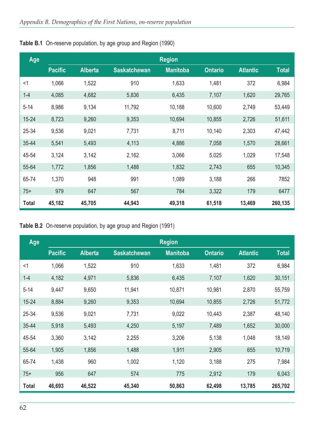| Age          |                |                |                     | <b>Region</b>   |                |                 |              |
|--------------|----------------|----------------|---------------------|-----------------|----------------|-----------------|--------------|
|              | <b>Pacific</b> | <b>Alberta</b> | <b>Saskatchewan</b> | <b>Manitoba</b> | <b>Ontario</b> | <b>Atlantic</b> | <b>Total</b> |
| $<$ 1        | 1,066          | 1,522          | 910                 | 1,633           | 1,481          | 372             | 6,984        |
| $1 - 4$      | 4,085          | 4,682          | 5,836               | 6,435           | 7,107          | 1,620           | 29,765       |
| $5 - 14$     | 8,986          | 9,134          | 11,792              | 10,188          | 10,600         | 2,749           | 53,449       |
| $15 - 24$    | 8,723          | 9,260          | 9,353               | 10,694          | 10,855         | 2,726           | 51,611       |
| 25-34        | 9,536          | 9,021          | 7,731               | 8,711           | 10,140         | 2,303           | 47,442       |
| 35-44        | 5,541          | 5,493          | 4,113               | 4,886           | 7,058          | 1,570           | 28,661       |
| 45-54        | 3,124          | 3,142          | 2,162               | 3,066           | 5,025          | 1,029           | 17,548       |
| 55-64        | 1,772          | 1,856          | 1,488               | 1,832           | 2,743          | 655             | 10,345       |
| 65-74        | 1,370          | 948            | 991                 | 1,089           | 3,188          | 266             | 7852         |
| $75+$        | 979            | 647            | 567                 | 784             | 3,322          | 179             | 6477         |
| <b>Total</b> | 45,182         | 45,705         | 44,943              | 49,318          | 61,518         | 13,469          | 260,135      |

**Table B.1** On-reserve population, by age group and Region (1990)

#### **Table B.2** On-reserve population, by age group and Region (1991)

| Age          |                |                |                     | <b>Region</b>   |                |                 |              |
|--------------|----------------|----------------|---------------------|-----------------|----------------|-----------------|--------------|
|              | <b>Pacific</b> | <b>Alberta</b> | <b>Saskatchewan</b> | <b>Manitoba</b> | <b>Ontario</b> | <b>Atlantic</b> | <b>Total</b> |
| $<$ 1        | 1,066          | 1,522          | 910                 | 1,633           | 1,481          | 372             | 6,984        |
| $1 - 4$      | 4,182          | 4,971          | 5,836               | 6,435           | 7,107          | 1,620           | 30,151       |
| $5 - 14$     | 9,447          | 9,650          | 11,941              | 10,871          | 10,981         | 2,870           | 55,759       |
| $15 - 24$    | 8,884          | 9,260          | 9,353               | 10,694          | 10,855         | 2,726           | 51,772       |
| 25-34        | 9,536          | 9,021          | 7,731               | 9,022           | 10,443         | 2,387           | 48,140       |
| 35-44        | 5,918          | 5,493          | 4,250               | 5,197           | 7,489          | 1,652           | 30,000       |
| 45-54        | 3,360          | 3,142          | 2,255               | 3,206           | 5,138          | 1,048           | 18,149       |
| 55-64        | 1,905          | 1,856          | 1,488               | 1,911           | 2,905          | 655             | 10,719       |
| 65-74        | 1,438          | 960            | 1,002               | 1,120           | 3,188          | 275             | 7,984        |
| $75+$        | 956            | 647            | 574                 | 775             | 2,912          | 179             | 6,043        |
| <b>Total</b> | 46,693         | 46,522         | 45,340              | 50,863          | 62,498         | 13,785          | 265,702      |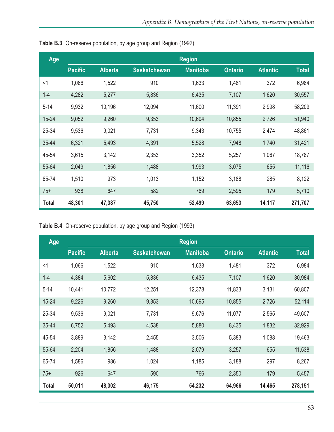| Age       |                |                |                     | <b>Region</b>   |                |                 |              |
|-----------|----------------|----------------|---------------------|-----------------|----------------|-----------------|--------------|
|           | <b>Pacific</b> | <b>Alberta</b> | <b>Saskatchewan</b> | <b>Manitoba</b> | <b>Ontario</b> | <b>Atlantic</b> | <b>Total</b> |
| $<$ 1     | 1,066          | 1,522          | 910                 | 1,633           | 1,481          | 372             | 6,984        |
| $1 - 4$   | 4,282          | 5,277          | 5,836               | 6,435           | 7,107          | 1,620           | 30,557       |
| $5 - 14$  | 9,932          | 10,196         | 12,094              | 11,600          | 11,391         | 2,998           | 58,209       |
| $15 - 24$ | 9,052          | 9,260          | 9,353               | 10,694          | 10,855         | 2,726           | 51,940       |
| 25-34     | 9,536          | 9,021          | 7,731               | 9,343           | 10,755         | 2,474           | 48,861       |
| 35-44     | 6,321          | 5,493          | 4,391               | 5,528           | 7,948          | 1,740           | 31,421       |
| 45-54     | 3,615          | 3,142          | 2,353               | 3,352           | 5,257          | 1,067           | 18,787       |
| 55-64     | 2,049          | 1,856          | 1,488               | 1,993           | 3,075          | 655             | 11,116       |
| 65-74     | 1,510          | 973            | 1,013               | 1,152           | 3,188          | 285             | 8,122        |
| $75+$     | 938            | 647            | 582                 | 769             | 2,595          | 179             | 5,710        |
| Total     | 48,301         | 47,387         | 45,750              | 52,499          | 63,653         | 14,117          | 271,707      |

**Table B.3** On-reserve population, by age group and Region (1992)

**Table B.4** On-reserve population, by age group and Region (1993)

| Age          |                |                |                     | <b>Region</b>   |                |                 |              |
|--------------|----------------|----------------|---------------------|-----------------|----------------|-----------------|--------------|
|              | <b>Pacific</b> | <b>Alberta</b> | <b>Saskatchewan</b> | <b>Manitoba</b> | <b>Ontario</b> | <b>Atlantic</b> | <b>Total</b> |
| $<$ 1        | 1,066          | 1,522          | 910                 | 1,633           | 1,481          | 372             | 6,984        |
| $1 - 4$      | 4,384          | 5,602          | 5,836               | 6,435           | 7,107          | 1,620           | 30,984       |
| $5 - 14$     | 10,441         | 10,772         | 12,251              | 12,378          | 11,833         | 3,131           | 60,807       |
| $15 - 24$    | 9,226          | 9,260          | 9,353               | 10,695          | 10,855         | 2,726           | 52,114       |
| 25-34        | 9,536          | 9,021          | 7,731               | 9,676           | 11,077         | 2,565           | 49,607       |
| 35-44        | 6,752          | 5,493          | 4,538               | 5,880           | 8,435          | 1,832           | 32,929       |
| 45-54        | 3,889          | 3,142          | 2,455               | 3,506           | 5,383          | 1,088           | 19,463       |
| 55-64        | 2,204          | 1,856          | 1,488               | 2,079           | 3,257          | 655             | 11,538       |
| 65-74        | 1,586          | 986            | 1,024               | 1,185           | 3,188          | 297             | 8,267        |
| $75+$        | 926            | 647            | 590                 | 766             | 2,350          | 179             | 5,457        |
| <b>Total</b> | 50,011         | 48,302         | 46,175              | 54,232          | 64,966         | 14,465          | 278,151      |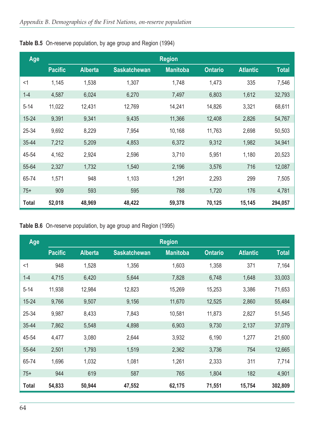| Age          |                |                |                     | <b>Region</b>   |                |                 |              |
|--------------|----------------|----------------|---------------------|-----------------|----------------|-----------------|--------------|
|              | <b>Pacific</b> | <b>Alberta</b> | <b>Saskatchewan</b> | <b>Manitoba</b> | <b>Ontario</b> | <b>Atlantic</b> | <b>Total</b> |
| $<$ 1        | 1,145          | 1,538          | 1,307               | 1,748           | 1,473          | 335             | 7,546        |
| $1 - 4$      | 4,587          | 6,024          | 6,270               | 7,497           | 6,803          | 1,612           | 32,793       |
| $5 - 14$     | 11,022         | 12,431         | 12,769              | 14,241          | 14,826         | 3,321           | 68,611       |
| $15 - 24$    | 9,391          | 9,341          | 9,435               | 11,366          | 12,408         | 2,826           | 54,767       |
| 25-34        | 9,692          | 8,229          | 7,954               | 10,168          | 11,763         | 2,698           | 50,503       |
| 35-44        | 7,212          | 5,209          | 4,853               | 6,372           | 9,312          | 1,982           | 34,941       |
| 45-54        | 4,162          | 2,924          | 2,596               | 3,710           | 5,951          | 1,180           | 20,523       |
| 55-64        | 2,327          | 1,732          | 1,540               | 2,196           | 3,576          | 716             | 12,087       |
| 65-74        | 1,571          | 948            | 1,103               | 1,291           | 2,293          | 299             | 7,505        |
| $75+$        | 909            | 593            | 595                 | 788             | 1,720          | 176             | 4,781        |
| <b>Total</b> | 52,018         | 48,969         | 48,422              | 59,378          | 70,125         | 15,145          | 294,057      |

**Table B.5** On-reserve population, by age group and Region (1994)

#### **Table B.6** On-reserve population, by age group and Region (1995)

| Age          |                |                |                     | <b>Region</b>   |                |                 |              |
|--------------|----------------|----------------|---------------------|-----------------|----------------|-----------------|--------------|
|              | <b>Pacific</b> | <b>Alberta</b> | <b>Saskatchewan</b> | <b>Manitoba</b> | <b>Ontario</b> | <b>Atlantic</b> | <b>Total</b> |
| $<$ 1        | 948            | 1,528          | 1,356               | 1,603           | 1,358          | 371             | 7,164        |
| $1 - 4$      | 4,715          | 6,420          | 5,644               | 7,828           | 6,748          | 1,648           | 33,003       |
| $5 - 14$     | 11,938         | 12,984         | 12,823              | 15,269          | 15,253         | 3,386           | 71,653       |
| $15 - 24$    | 9,766          | 9,507          | 9,156               | 11,670          | 12,525         | 2,860           | 55,484       |
| 25-34        | 9,987          | 8,433          | 7,843               | 10,581          | 11,873         | 2,827           | 51,545       |
| 35-44        | 7,862          | 5,548          | 4,898               | 6,903           | 9,730          | 2,137           | 37,079       |
| 45-54        | 4,477          | 3,080          | 2,644               | 3,932           | 6,190          | 1,277           | 21,600       |
| 55-64        | 2,501          | 1,793          | 1,519               | 2,362           | 3,736          | 754             | 12,665       |
| 65-74        | 1,696          | 1,032          | 1,081               | 1,261           | 2,333          | 311             | 7,714        |
| $75+$        | 944            | 619            | 587                 | 765             | 1,804          | 182             | 4,901        |
| <b>Total</b> | 54,833         | 50,944         | 47,552              | 62,175          | 71,551         | 15,754          | 302,809      |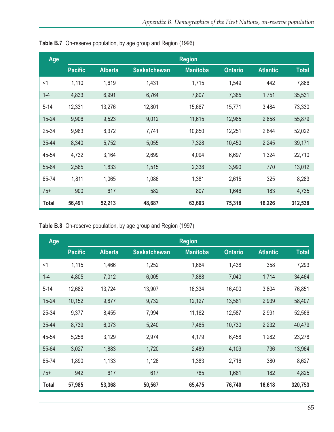| Age       |                |                |                     | <b>Region</b>   |                |                 |              |
|-----------|----------------|----------------|---------------------|-----------------|----------------|-----------------|--------------|
|           | <b>Pacific</b> | <b>Alberta</b> | <b>Saskatchewan</b> | <b>Manitoba</b> | <b>Ontario</b> | <b>Atlantic</b> | <b>Total</b> |
| $<$ 1     | 1,110          | 1,619          | 1,431               | 1,715           | 1,549          | 442             | 7,866        |
| $1 - 4$   | 4,833          | 6,991          | 6,764               | 7,807           | 7,385          | 1,751           | 35,531       |
| $5 - 14$  | 12,331         | 13,276         | 12,801              | 15,667          | 15,771         | 3,484           | 73,330       |
| $15 - 24$ | 9,906          | 9,523          | 9,012               | 11,615          | 12,965         | 2,858           | 55,879       |
| 25-34     | 9,963          | 8,372          | 7,741               | 10,850          | 12,251         | 2,844           | 52,022       |
| 35-44     | 8,340          | 5,752          | 5,055               | 7,328           | 10,450         | 2,245           | 39,171       |
| 45-54     | 4,732          | 3,164          | 2,699               | 4,094           | 6,697          | 1,324           | 22,710       |
| 55-64     | 2,565          | 1,833          | 1,515               | 2,338           | 3,990          | 770             | 13,012       |
| 65-74     | 1,811          | 1,065          | 1,086               | 1,381           | 2,615          | 325             | 8,283        |
| $75+$     | 900            | 617            | 582                 | 807             | 1,646          | 183             | 4,735        |
| Total     | 56,491         | 52,213         | 48,687              | 63,603          | 75,318         | 16,226          | 312,538      |

**Table B.7** On-reserve population, by age group and Region (1996)

**Table B.8** On-reserve population, by age group and Region (1997)

| Age          | <b>Region</b>  |                |                     |                 |                |                 |              |
|--------------|----------------|----------------|---------------------|-----------------|----------------|-----------------|--------------|
|              | <b>Pacific</b> | <b>Alberta</b> | <b>Saskatchewan</b> | <b>Manitoba</b> | <b>Ontario</b> | <b>Atlantic</b> | <b>Total</b> |
| $<$ 1        | 1,115          | 1,466          | 1,252               | 1,664           | 1,438          | 358             | 7,293        |
| $1 - 4$      | 4,805          | 7,012          | 6,005               | 7,888           | 7,040          | 1,714           | 34,464       |
| $5 - 14$     | 12,682         | 13,724         | 13,907              | 16,334          | 16,400         | 3,804           | 76,851       |
| $15 - 24$    | 10,152         | 9,877          | 9,732               | 12,127          | 13,581         | 2,939           | 58,407       |
| 25-34        | 9,377          | 8,455          | 7,994               | 11,162          | 12,587         | 2,991           | 52,566       |
| 35-44        | 8,739          | 6,073          | 5,240               | 7,465           | 10,730         | 2,232           | 40,479       |
| 45-54        | 5,256          | 3,129          | 2,974               | 4,179           | 6,458          | 1,282           | 23,278       |
| 55-64        | 3,027          | 1,883          | 1,720               | 2,489           | 4,109          | 736             | 13,964       |
| 65-74        | 1,890          | 1,133          | 1,126               | 1,383           | 2,716          | 380             | 8,627        |
| $75+$        | 942            | 617            | 617                 | 785             | 1,681          | 182             | 4,825        |
| <b>Total</b> | 57,985         | 53,368         | 50,567              | 65,475          | 76,740         | 16,618          | 320,753      |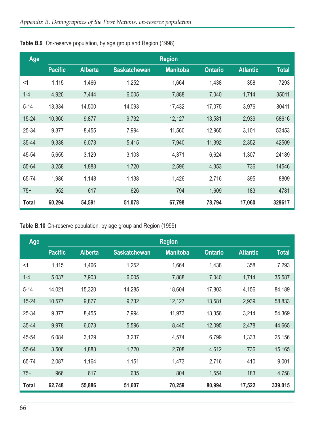| Age          | <b>Region</b>  |                |                     |                 |                |                 |              |
|--------------|----------------|----------------|---------------------|-----------------|----------------|-----------------|--------------|
|              | <b>Pacific</b> | <b>Alberta</b> | <b>Saskatchewan</b> | <b>Manitoba</b> | <b>Ontario</b> | <b>Atlantic</b> | <b>Total</b> |
| $<$ 1        | 1,115          | 1,466          | 1,252               | 1,664           | 1,438          | 358             | 7293         |
| $1 - 4$      | 4,920          | 7,444          | 6,005               | 7,888           | 7,040          | 1,714           | 35011        |
| $5 - 14$     | 13,334         | 14,500         | 14,093              | 17,432          | 17,075         | 3,976           | 80411        |
| $15 - 24$    | 10,360         | 9,877          | 9,732               | 12,127          | 13,581         | 2,939           | 58616        |
| 25-34        | 9,377          | 8,455          | 7,994               | 11,560          | 12,965         | 3,101           | 53453        |
| 35-44        | 9,338          | 6,073          | 5,415               | 7,940           | 11,392         | 2,352           | 42509        |
| 45-54        | 5,655          | 3,129          | 3,103               | 4,371           | 6,624          | 1,307           | 24189        |
| 55-64        | 3,258          | 1,883          | 1,720               | 2,596           | 4,353          | 736             | 14546        |
| 65-74        | 1,986          | 1,148          | 1,138               | 1,426           | 2,716          | 395             | 8809         |
| $75+$        | 952            | 617            | 626                 | 794             | 1,609          | 183             | 4781         |
| <b>Total</b> | 60,294         | 54,591         | 51,078              | 67,798          | 78,794         | 17,060          | 329617       |

**Table B.9** On-reserve population, by age group and Region (1998)

**Table B.10** On-reserve population, by age group and Region (1999)

| Age          |                |                |                     | <b>Region</b>   |                |                 |              |
|--------------|----------------|----------------|---------------------|-----------------|----------------|-----------------|--------------|
|              | <b>Pacific</b> | <b>Alberta</b> | <b>Saskatchewan</b> | <b>Manitoba</b> | <b>Ontario</b> | <b>Atlantic</b> | <b>Total</b> |
| $<$ 1        | 1,115          | 1,466          | 1,252               | 1,664           | 1,438          | 358             | 7,293        |
| $1 - 4$      | 5,037          | 7,903          | 6,005               | 7,888           | 7,040          | 1,714           | 35,587       |
| $5 - 14$     | 14,021         | 15,320         | 14,285              | 18,604          | 17,803         | 4,156           | 84,189       |
| $15 - 24$    | 10,577         | 9,877          | 9,732               | 12,127          | 13,581         | 2,939           | 58,833       |
| 25-34        | 9,377          | 8,455          | 7,994               | 11,973          | 13,356         | 3,214           | 54,369       |
| 35-44        | 9,978          | 6,073          | 5,596               | 8,445           | 12,095         | 2,478           | 44,665       |
| 45-54        | 6,084          | 3,129          | 3,237               | 4,574           | 6,799          | 1,333           | 25,156       |
| 55-64        | 3,506          | 1,883          | 1,720               | 2,708           | 4,612          | 736             | 15,165       |
| 65-74        | 2,087          | 1,164          | 1,151               | 1,473           | 2,716          | 410             | 9,001        |
| $75+$        | 966            | 617            | 635                 | 804             | 1,554          | 183             | 4,758        |
| <b>Total</b> | 62,748         | 55,886         | 51,607              | 70,259          | 80,994         | 17,522          | 339,015      |